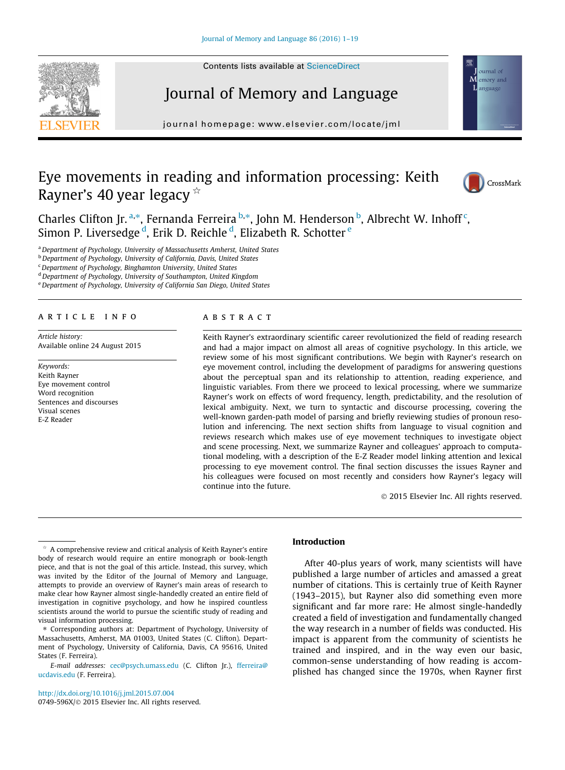



# Journal of Memory and Language

journal homepage: www.el [sevier.com/locate/jml](http://www.elsevier.com/locate/jml)

# Eye movements in reading and information processing: Keith Rayner's 40 year legacy  $\dot{\alpha}$



Charles Clifton Jr. <sup>a,\*</sup>, Fernanda Ferreira <sup>b,\*</sup>, John M. Henderson <sup>b</sup>, Albrecht W. Inhoff <sup>c</sup>, Simon P. Liversedge <sup>d</sup>, Erik D. Reichle <sup>d</sup>, Elizabeth R. Schotter <sup>e</sup>

a Department of Psychology, University of Massachusetts Amherst, United States

**b** Department of Psychology, University of California, Davis, United States

<sup>c</sup>Department of Psychology, Binghamton University, United States

<sup>d</sup> Department of Psychology, University of Southampton, United Kingdom

e Department of Psychology, University of California San Diego, United States

## article info

Article history: Available online 24 August 2015

Keywords: Keith Rayner Eye movement control Word recognition Sentences and discourses Visual scenes E-Z Reader

## **ABSTRACT**

Keith Rayner's extraordinary scientific career revolutionized the field of reading research and had a major impact on almost all areas of cognitive psychology. In this article, we review some of his most significant contributions. We begin with Rayner's research on eye movement control, including the development of paradigms for answering questions about the perceptual span and its relationship to attention, reading experience, and linguistic variables. From there we proceed to lexical processing, where we summarize Rayner's work on effects of word frequency, length, predictability, and the resolution of lexical ambiguity. Next, we turn to syntactic and discourse processing, covering the well-known garden-path model of parsing and briefly reviewing studies of pronoun resolution and inferencing. The next section shifts from language to visual cognition and reviews research which makes use of eye movement techniques to investigate object and scene processing. Next, we summarize Rayner and colleagues' approach to computational modeling, with a description of the E-Z Reader model linking attention and lexical processing to eye movement control. The final section discusses the issues Rayner and his colleagues were focused on most recently and considers how Rayner's legacy will continue into the future.

2015 Elsevier Inc. All rights reserved.

⇑ Corresponding authors at: Department of Psychology, University of Massachusetts, Amherst, MA 01003, United States (C. Clifton). Department of Psychology, University of California, Davis, CA 95616, United States (F. Ferreira).

E-mail addresses: [cec@psych.umass.edu](mailto:cec@psych.umass.edu) (C. Clifton Jr.), [fferreira@](mailto:fferreira@ucdavis.edu) [ucdavis.edu](mailto:fferreira@ucdavis.edu) (F. Ferreira).

<http://dx.doi.org/10.1016/j.jml.2015.07.004> 0749-596X/© 2015 Elsevier Inc. All rights reserved.

## Introduction

After 40-plus years of work, many scientists will have published a large number of articles and amassed a great number of citations. This is certainly true of Keith Rayner (1943–2015), but Rayner also did something even more significant and far more rare: He almost single-handedly created a field of investigation and fundamentally changed the way research in a number of fields was conducted. His impact is apparent from the community of scientists he trained and inspired, and in the way even our basic, common-sense understanding of how reading is accomplished has changed since the 1970s, when Rayner first

 $*$  A comprehensive review and critical analysis of Keith Rayner's entire body of research would require an entire monograph or book-length piece, and that is not the goal of this article. Instead, this survey, which was invited by the Editor of the Journal of Memory and Language, attempts to provide an overview of Rayner's main areas of research to make clear how Rayner almost single-handedly created an entire field of investigation in cognitive psychology, and how he inspired countless scientists around the world to pursue the scientific study of reading and visual information processing.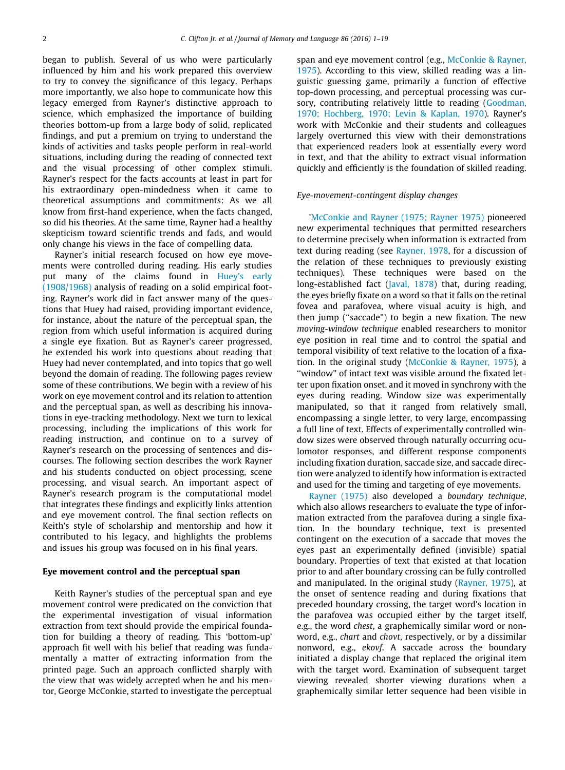began to publish. Several of us who were particularly influenced by him and his work prepared this overview to try to convey the significance of this legacy. Perhaps more importantly, we also hope to communicate how this legacy emerged from Rayner's distinctive approach to science, which emphasized the importance of building theories bottom-up from a large body of solid, replicated findings, and put a premium on trying to understand the kinds of activities and tasks people perform in real-world situations, including during the reading of connected text and the visual processing of other complex stimuli. Rayner's respect for the facts accounts at least in part for his extraordinary open-mindedness when it came to theoretical assumptions and commitments: As we all know from first-hand experience, when the facts changed, so did his theories. At the same time, Rayner had a healthy skepticism toward scientific trends and fads, and would only change his views in the face of compelling data.

Rayner's initial research focused on how eye movements were controlled during reading. His early studies put many of the claims found in [Huey's early](#page-15-0) [\(1908/1968\)](#page-15-0) analysis of reading on a solid empirical footing. Rayner's work did in fact answer many of the questions that Huey had raised, providing important evidence, for instance, about the nature of the perceptual span, the region from which useful information is acquired during a single eye fixation. But as Rayner's career progressed, he extended his work into questions about reading that Huey had never contemplated, and into topics that go well beyond the domain of reading. The following pages review some of these contributions. We begin with a review of his work on eye movement control and its relation to attention and the perceptual span, as well as describing his innovations in eye-tracking methodology. Next we turn to lexical processing, including the implications of this work for reading instruction, and continue on to a survey of Rayner's research on the processing of sentences and discourses. The following section describes the work Rayner and his students conducted on object processing, scene processing, and visual search. An important aspect of Rayner's research program is the computational model that integrates these findings and explicitly links attention and eye movement control. The final section reflects on Keith's style of scholarship and mentorship and how it contributed to his legacy, and highlights the problems and issues his group was focused on in his final years.

## Eye movement control and the perceptual span

Keith Rayner's studies of the perceptual span and eye movement control were predicated on the conviction that the experimental investigation of visual information extraction from text should provide the empirical foundation for building a theory of reading. This 'bottom-up' approach fit well with his belief that reading was fundamentally a matter of extracting information from the printed page. Such an approach conflicted sharply with the view that was widely accepted when he and his mentor, George McConkie, started to investigate the perceptual span and eye movement control (e.g., [McConkie & Rayner,](#page-15-0) [1975](#page-15-0)). According to this view, skilled reading was a linguistic guessing game, primarily a function of effective top-down processing, and perceptual processing was cur-sory, contributing relatively little to reading ([Goodman,](#page-14-0) [1970; Hochberg, 1970; Levin & Kaplan, 1970](#page-14-0)). Rayner's work with McConkie and their students and colleagues largely overturned this view with their demonstrations that experienced readers look at essentially every word in text, and that the ability to extract visual information quickly and efficiently is the foundation of skilled reading.

## Eye-movement-contingent display changes

'[McConkie and Rayner \(1975; Rayner 1975\)](#page-15-0) pioneered new experimental techniques that permitted researchers to determine precisely when information is extracted from text during reading (see [Rayner, 1978](#page-16-0), for a discussion of the relation of these techniques to previously existing techniques). These techniques were based on the long-established fact ([Javal, 1878](#page-15-0)) that, during reading, the eyes briefly fixate on a word so that it falls on the retinal fovea and parafovea, where visual acuity is high, and then jump (''saccade") to begin a new fixation. The new moving-window technique enabled researchers to monitor eye position in real time and to control the spatial and temporal visibility of text relative to the location of a fixation. In the original study ([McConkie & Rayner, 1975\)](#page-15-0), a ''window" of intact text was visible around the fixated letter upon fixation onset, and it moved in synchrony with the eyes during reading. Window size was experimentally manipulated, so that it ranged from relatively small, encompassing a single letter, to very large, encompassing a full line of text. Effects of experimentally controlled window sizes were observed through naturally occurring oculomotor responses, and different response components including fixation duration, saccade size, and saccade direction were analyzed to identify how information is extracted and used for the timing and targeting of eye movements.

[Rayner \(1975\)](#page-16-0) also developed a boundary technique, which also allows researchers to evaluate the type of information extracted from the parafovea during a single fixation. In the boundary technique, text is presented contingent on the execution of a saccade that moves the eyes past an experimentally defined (invisible) spatial boundary. Properties of text that existed at that location prior to and after boundary crossing can be fully controlled and manipulated. In the original study ([Rayner, 1975](#page-16-0)), at the onset of sentence reading and during fixations that preceded boundary crossing, the target word's location in the parafovea was occupied either by the target itself, e.g., the word chest, a graphemically similar word or nonword, e.g., chart and chovt, respectively, or by a dissimilar nonword, e.g., ekovf. A saccade across the boundary initiated a display change that replaced the original item with the target word. Examination of subsequent target viewing revealed shorter viewing durations when a graphemically similar letter sequence had been visible in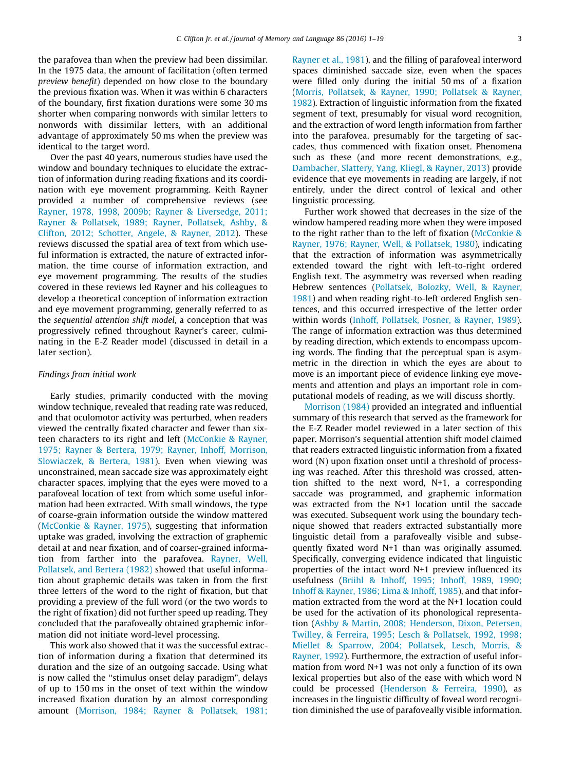the parafovea than when the preview had been dissimilar. In the 1975 data, the amount of facilitation (often termed preview benefit) depended on how close to the boundary the previous fixation was. When it was within 6 characters of the boundary, first fixation durations were some 30 ms shorter when comparing nonwords with similar letters to nonwords with dissimilar letters, with an additional advantage of approximately 50 ms when the preview was identical to the target word.

Over the past 40 years, numerous studies have used the window and boundary techniques to elucidate the extraction of information during reading fixations and its coordination with eye movement programming. Keith Rayner provided a number of comprehensive reviews (see [Rayner, 1978, 1998, 2009b; Rayner & Liversedge, 2011;](#page-16-0) [Rayner & Pollatsek, 1989; Rayner, Pollatsek, Ashby, &](#page-16-0) [Clifton, 2012; Schotter, Angele, & Rayner, 2012\)](#page-16-0). These reviews discussed the spatial area of text from which useful information is extracted, the nature of extracted information, the time course of information extraction, and eye movement programming. The results of the studies covered in these reviews led Rayner and his colleagues to develop a theoretical conception of information extraction and eye movement programming, generally referred to as the sequential attention shift model, a conception that was progressively refined throughout Rayner's career, culminating in the E-Z Reader model (discussed in detail in a later section).

## Findings from initial work

Early studies, primarily conducted with the moving window technique, revealed that reading rate was reduced, and that oculomotor activity was perturbed, when readers viewed the centrally fixated character and fewer than sixteen characters to its right and left [\(McConkie & Rayner,](#page-15-0) [1975; Rayner & Bertera, 1979; Rayner, Inhoff, Morrison,](#page-15-0) [Slowiaczek, & Bertera, 1981](#page-15-0)). Even when viewing was unconstrained, mean saccade size was approximately eight character spaces, implying that the eyes were moved to a parafoveal location of text from which some useful information had been extracted. With small windows, the type of coarse-grain information outside the window mattered ([McConkie & Rayner, 1975](#page-15-0)), suggesting that information uptake was graded, involving the extraction of graphemic detail at and near fixation, and of coarser-grained information from farther into the parafovea. [Rayner, Well,](#page-17-0) [Pollatsek, and Bertera \(1982\)](#page-17-0) showed that useful information about graphemic details was taken in from the first three letters of the word to the right of fixation, but that providing a preview of the full word (or the two words to the right of fixation) did not further speed up reading. They concluded that the parafoveally obtained graphemic information did not initiate word-level processing.

This work also showed that it was the successful extraction of information during a fixation that determined its duration and the size of an outgoing saccade. Using what is now called the ''stimulus onset delay paradigm", delays of up to 150 ms in the onset of text within the window increased fixation duration by an almost corresponding amount [\(Morrison, 1984; Rayner & Pollatsek, 1981;](#page-16-0)

[Rayner et al., 1981\)](#page-16-0), and the filling of parafoveal interword spaces diminished saccade size, even when the spaces were filled only during the initial 50 ms of a fixation [\(Morris, Pollatsek, & Rayner, 1990; Pollatsek & Rayner,](#page-16-0) [1982\)](#page-16-0). Extraction of linguistic information from the fixated segment of text, presumably for visual word recognition, and the extraction of word length information from farther into the parafovea, presumably for the targeting of saccades, thus commenced with fixation onset. Phenomena such as these (and more recent demonstrations, e.g., [Dambacher, Slattery, Yang, Kliegl, & Rayner, 2013\)](#page-14-0) provide evidence that eye movements in reading are largely, if not entirely, under the direct control of lexical and other linguistic processing.

Further work showed that decreases in the size of the window hampered reading more when they were imposed to the right rather than to the left of fixation ([McConkie &](#page-15-0) [Rayner, 1976; Rayner, Well, & Pollatsek, 1980\)](#page-15-0), indicating that the extraction of information was asymmetrically extended toward the right with left-to-right ordered English text. The asymmetry was reversed when reading Hebrew sentences ([Pollatsek, Bolozky, Well, & Rayner,](#page-16-0) [1981\)](#page-16-0) and when reading right-to-left ordered English sentences, and this occurred irrespective of the letter order within words [\(Inhoff, Pollatsek, Posner, & Rayner, 1989](#page-15-0)). The range of information extraction was thus determined by reading direction, which extends to encompass upcoming words. The finding that the perceptual span is asymmetric in the direction in which the eyes are about to move is an important piece of evidence linking eye movements and attention and plays an important role in computational models of reading, as we will discuss shortly.

[Morrison \(1984\)](#page-16-0) provided an integrated and influential summary of this research that served as the framework for the E-Z Reader model reviewed in a later section of this paper. Morrison's sequential attention shift model claimed that readers extracted linguistic information from a fixated word (N) upon fixation onset until a threshold of processing was reached. After this threshold was crossed, attention shifted to the next word, N+1, a corresponding saccade was programmed, and graphemic information was extracted from the N+1 location until the saccade was executed. Subsequent work using the boundary technique showed that readers extracted substantially more linguistic detail from a parafoveally visible and subsequently fixated word N+1 than was originally assumed. Specifically, converging evidence indicated that linguistic properties of the intact word N+1 preview influenced its usefulness [\(Briihl & Inhoff, 1995; Inhoff, 1989, 1990;](#page-14-0) [Inhoff & Rayner, 1986; Lima & Inhoff, 1985\)](#page-14-0), and that information extracted from the word at the N+1 location could be used for the activation of its phonological representation [\(Ashby & Martin, 2008; Henderson, Dixon, Petersen,](#page-14-0) [Twilley, & Ferreira, 1995; Lesch & Pollatsek, 1992, 1998;](#page-14-0) [Miellet & Sparrow, 2004; Pollatsek, Lesch, Morris, &](#page-14-0) [Rayner, 1992\)](#page-14-0). Furthermore, the extraction of useful information from word N+1 was not only a function of its own lexical properties but also of the ease with which word N could be processed ([Henderson & Ferreira, 1990](#page-15-0)), as increases in the linguistic difficulty of foveal word recognition diminished the use of parafoveally visible information.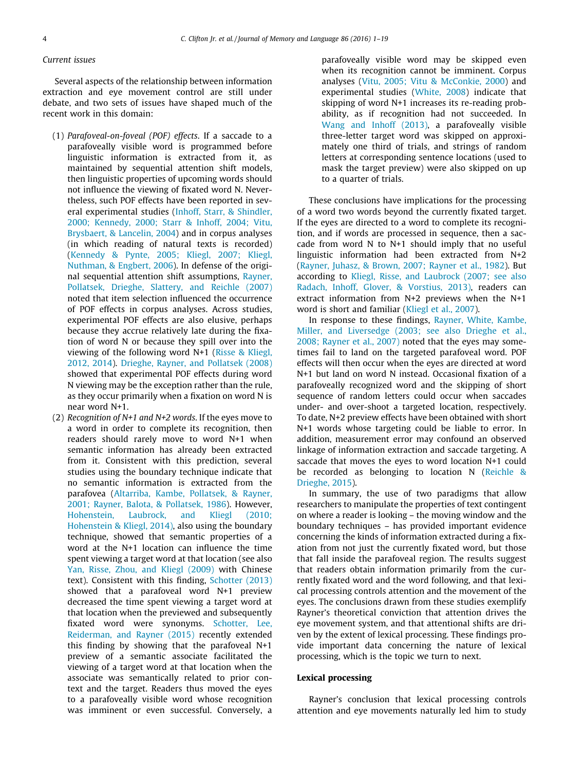## Current issues

Several aspects of the relationship between information extraction and eye movement control are still under debate, and two sets of issues have shaped much of the recent work in this domain:

- (1) Parafoveal-on-foveal (POF) effects. If a saccade to a parafoveally visible word is programmed before linguistic information is extracted from it, as maintained by sequential attention shift models, then linguistic properties of upcoming words should not influence the viewing of fixated word N. Nevertheless, such POF effects have been reported in several experimental studies [\(Inhoff, Starr, & Shindler,](#page-15-0) [2000; Kennedy, 2000; Starr & Inhoff, 2004; Vitu,](#page-15-0) [Brysbaert, & Lancelin, 2004](#page-15-0)) and in corpus analyses (in which reading of natural texts is recorded) [\(Kennedy & Pynte, 2005; Kliegl, 2007; Kliegl,](#page-15-0) [Nuthman, & Engbert, 2006\)](#page-15-0). In defense of the original sequential attention shift assumptions, [Rayner,](#page-17-0) [Pollatsek, Drieghe, Slattery, and Reichle \(2007\)](#page-17-0) noted that item selection influenced the occurrence of POF effects in corpus analyses. Across studies, experimental POF effects are also elusive, perhaps because they accrue relatively late during the fixation of word N or because they spill over into the viewing of the following word N+1 ([Risse & Kliegl,](#page-17-0) [2012, 2014](#page-17-0)). [Drieghe, Rayner, and Pollatsek \(2008\)](#page-14-0) showed that experimental POF effects during word N viewing may be the exception rather than the rule, as they occur primarily when a fixation on word N is near word N+1.
- (2) Recognition of  $N+1$  and  $N+2$  words. If the eyes move to a word in order to complete its recognition, then readers should rarely move to word N+1 when semantic information has already been extracted from it. Consistent with this prediction, several studies using the boundary technique indicate that no semantic information is extracted from the parafovea ([Altarriba, Kambe, Pollatsek, & Rayner,](#page-13-0) [2001; Rayner, Balota, & Pollatsek, 1986](#page-13-0)). However, [Hohenstein, Laubrock, and Kliegl \(2010;](#page-15-0) [Hohenstein & Kliegl, 2014\),](#page-15-0) also using the boundary technique, showed that semantic properties of a word at the N+1 location can influence the time spent viewing a target word at that location (see also [Yan, Risse, Zhou, and Kliegl \(2009\)](#page-18-0) with Chinese text). Consistent with this finding, [Schotter \(2013\)](#page-17-0) showed that a parafoveal word N+1 preview decreased the time spent viewing a target word at that location when the previewed and subsequently fixated word were synonyms. [Schotter, Lee,](#page-17-0) [Reiderman, and Rayner \(2015\)](#page-17-0) recently extended this finding by showing that the parafoveal N+1 preview of a semantic associate facilitated the viewing of a target word at that location when the associate was semantically related to prior context and the target. Readers thus moved the eyes to a parafoveally visible word whose recognition was imminent or even successful. Conversely, a

parafoveally visible word may be skipped even when its recognition cannot be imminent. Corpus analyses ([Vitu, 2005; Vitu & McConkie, 2000\)](#page-18-0) and experimental studies [\(White, 2008](#page-18-0)) indicate that skipping of word N+1 increases its re-reading probability, as if recognition had not succeeded. In [Wang and Inhoff \(2013\)](#page-18-0), a parafoveally visible three-letter target word was skipped on approximately one third of trials, and strings of random letters at corresponding sentence locations (used to mask the target preview) were also skipped on up to a quarter of trials.

These conclusions have implications for the processing of a word two words beyond the currently fixated target. If the eyes are directed to a word to complete its recognition, and if words are processed in sequence, then a saccade from word N to N+1 should imply that no useful linguistic information had been extracted from N+2 [\(Rayner, Juhasz, & Brown, 2007; Rayner et al., 1982](#page-16-0)). But according to [Kliegl, Risse, and Laubrock \(2007; see also](#page-15-0) [Radach, Inhoff, Glover, & Vorstius, 2013\),](#page-15-0) readers can extract information from N+2 previews when the N+1 word is short and familiar ([Kliegl et al., 2007\)](#page-15-0).

In response to these findings, [Rayner, White, Kambe,](#page-17-0) [Miller, and Liversedge \(2003; see also Drieghe et al.,](#page-17-0) [2008; Rayner et al., 2007\)](#page-17-0) noted that the eyes may sometimes fail to land on the targeted parafoveal word. POF effects will then occur when the eyes are directed at word N+1 but land on word N instead. Occasional fixation of a parafoveally recognized word and the skipping of short sequence of random letters could occur when saccades under- and over-shoot a targeted location, respectively. To date, N+2 preview effects have been obtained with short N+1 words whose targeting could be liable to error. In addition, measurement error may confound an observed linkage of information extraction and saccade targeting. A saccade that moves the eyes to word location N+1 could be recorded as belonging to location N ([Reichle &](#page-17-0) [Drieghe, 2015](#page-17-0)).

In summary, the use of two paradigms that allow researchers to manipulate the properties of text contingent on where a reader is looking – the moving window and the boundary techniques – has provided important evidence concerning the kinds of information extracted during a fixation from not just the currently fixated word, but those that fall inside the parafoveal region. The results suggest that readers obtain information primarily from the currently fixated word and the word following, and that lexical processing controls attention and the movement of the eyes. The conclusions drawn from these studies exemplify Rayner's theoretical conviction that attention drives the eye movement system, and that attentional shifts are driven by the extent of lexical processing. These findings provide important data concerning the nature of lexical processing, which is the topic we turn to next.

## Lexical processing

Rayner's conclusion that lexical processing controls attention and eye movements naturally led him to study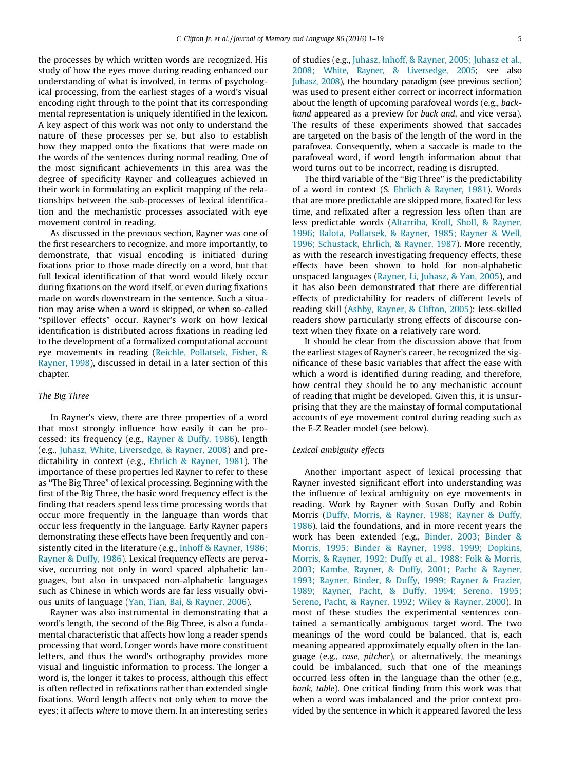the processes by which written words are recognized. His study of how the eyes move during reading enhanced our understanding of what is involved, in terms of psychological processing, from the earliest stages of a word's visual encoding right through to the point that its corresponding mental representation is uniquely identified in the lexicon. A key aspect of this work was not only to understand the nature of these processes per se, but also to establish how they mapped onto the fixations that were made on the words of the sentences during normal reading. One of the most significant achievements in this area was the degree of specificity Rayner and colleagues achieved in their work in formulating an explicit mapping of the relationships between the sub-processes of lexical identification and the mechanistic processes associated with eye movement control in reading.

As discussed in the previous section, Rayner was one of the first researchers to recognize, and more importantly, to demonstrate, that visual encoding is initiated during fixations prior to those made directly on a word, but that full lexical identification of that word would likely occur during fixations on the word itself, or even during fixations made on words downstream in the sentence. Such a situation may arise when a word is skipped, or when so-called ''spillover effects" occur. Rayner's work on how lexical identification is distributed across fixations in reading led to the development of a formalized computational account eye movements in reading [\(Reichle, Pollatsek, Fisher, &](#page-17-0) [Rayner, 1998\)](#page-17-0), discussed in detail in a later section of this chapter.

#### The Big Three

In Rayner's view, there are three properties of a word that most strongly influence how easily it can be processed: its frequency (e.g., [Rayner & Duffy, 1986\)](#page-16-0), length (e.g., [Juhasz, White, Liversedge, & Rayner, 2008](#page-15-0)) and predictability in context (e.g., [Ehrlich & Rayner, 1981](#page-14-0)). The importance of these properties led Rayner to refer to these as ''The Big Three" of lexical processing. Beginning with the first of the Big Three, the basic word frequency effect is the finding that readers spend less time processing words that occur more frequently in the language than words that occur less frequently in the language. Early Rayner papers demonstrating these effects have been frequently and consistently cited in the literature (e.g., [Inhoff & Rayner, 1986;](#page-15-0) [Rayner & Duffy, 1986](#page-15-0)). Lexical frequency effects are pervasive, occurring not only in word spaced alphabetic languages, but also in unspaced non-alphabetic languages such as Chinese in which words are far less visually obvious units of language [\(Yan, Tian, Bai, & Rayner, 2006\)](#page-18-0).

Rayner was also instrumental in demonstrating that a word's length, the second of the Big Three, is also a fundamental characteristic that affects how long a reader spends processing that word. Longer words have more constituent letters, and thus the word's orthography provides more visual and linguistic information to process. The longer a word is, the longer it takes to process, although this effect is often reflected in refixations rather than extended single fixations. Word length affects not only when to move the eyes; it affects where to move them. In an interesting series

of studies (e.g., [Juhasz, Inhoff, & Rayner, 2005; Juhasz et al.,](#page-15-0) [2008; White, Rayner, & Liversedge, 2005](#page-15-0); see also [Juhasz, 2008\)](#page-15-0), the boundary paradigm (see previous section) was used to present either correct or incorrect information about the length of upcoming parafoveal words (e.g., backhand appeared as a preview for back and, and vice versa). The results of these experiments showed that saccades are targeted on the basis of the length of the word in the parafovea. Consequently, when a saccade is made to the parafoveal word, if word length information about that word turns out to be incorrect, reading is disrupted.

The third variable of the ''Big Three" is the predictability of a word in context (S. [Ehrlich & Rayner, 1981\)](#page-14-0). Words that are more predictable are skipped more, fixated for less time, and refixated after a regression less often than are less predictable words [\(Altarriba, Kroll, Sholl, & Rayner,](#page-14-0) [1996; Balota, Pollatsek, & Rayner, 1985; Rayner & Well,](#page-14-0) [1996; Schustack, Ehrlich, & Rayner, 1987\)](#page-14-0). More recently, as with the research investigating frequency effects, these effects have been shown to hold for non-alphabetic unspaced languages ([Rayner, Li, Juhasz, & Yan, 2005](#page-16-0)), and it has also been demonstrated that there are differential effects of predictability for readers of different levels of reading skill [\(Ashby, Rayner, & Clifton, 2005](#page-14-0)): less-skilled readers show particularly strong effects of discourse context when they fixate on a relatively rare word.

It should be clear from the discussion above that from the earliest stages of Rayner's career, he recognized the significance of these basic variables that affect the ease with which a word is identified during reading, and therefore, how central they should be to any mechanistic account of reading that might be developed. Given this, it is unsurprising that they are the mainstay of formal computational accounts of eye movement control during reading such as the E-Z Reader model (see below).

## Lexical ambiguity effects

Another important aspect of lexical processing that Rayner invested significant effort into understanding was the influence of lexical ambiguity on eye movements in reading. Work by Rayner with Susan Duffy and Robin Morris [\(Duffy, Morris, & Rayner, 1988; Rayner & Duffy,](#page-14-0) [1986\)](#page-14-0), laid the foundations, and in more recent years the work has been extended (e.g., [Binder, 2003; Binder &](#page-14-0) [Morris, 1995; Binder & Rayner, 1998, 1999; Dopkins,](#page-14-0) [Morris, & Rayner, 1992; Duffy et al., 1988; Folk & Morris,](#page-14-0) [2003; Kambe, Rayner, & Duffy, 2001; Pacht & Rayner,](#page-14-0) [1993; Rayner, Binder, & Duffy, 1999; Rayner & Frazier,](#page-14-0) [1989; Rayner, Pacht, & Duffy, 1994; Sereno, 1995;](#page-14-0) [Sereno, Pacht, & Rayner, 1992; Wiley & Rayner, 2000\)](#page-14-0). In most of these studies the experimental sentences contained a semantically ambiguous target word. The two meanings of the word could be balanced, that is, each meaning appeared approximately equally often in the language (e.g., case, pitcher), or alternatively, the meanings could be imbalanced, such that one of the meanings occurred less often in the language than the other (e.g., bank, table). One critical finding from this work was that when a word was imbalanced and the prior context provided by the sentence in which it appeared favored the less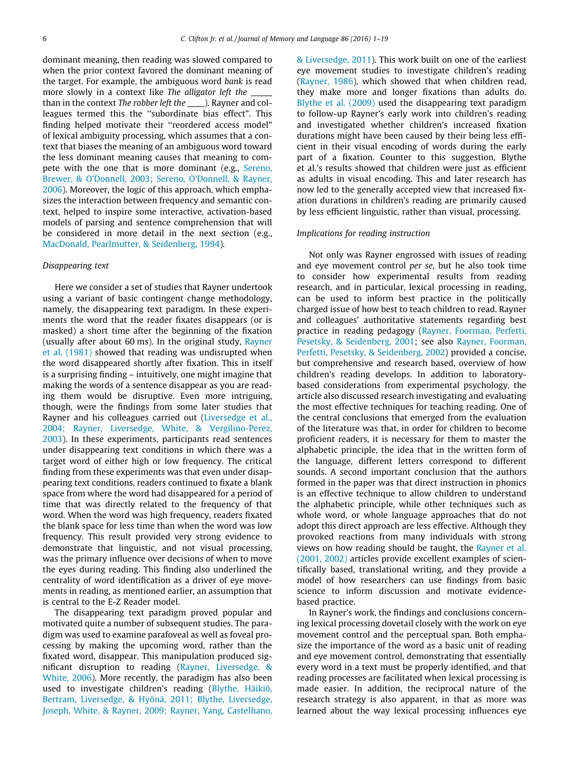dominant meaning, then reading was slowed compared to when the prior context favored the dominant meaning of the target. For example, the ambiguous word bank is read more slowly in a context like The alligator left the than in the context The robber left the \_\_\_\_\_\_). Rayner and colleagues termed this the ''subordinate bias effect". This finding helped motivate their ''reordered access model" of lexical ambiguity processing, which assumes that a context that biases the meaning of an ambiguous word toward the less dominant meaning causes that meaning to compete with the one that is more dominant (e.g., [Sereno,](#page-17-0) [Brewer, & O'Donnell, 2003; Sereno, O'Donnell, & Rayner,](#page-17-0) [2006](#page-17-0)). Moreover, the logic of this approach, which emphasizes the interaction between frequency and semantic context, helped to inspire some interactive, activation-based models of parsing and sentence comprehension that will be considered in more detail in the next section (e.g., [MacDonald, Pearlmutter, & Seidenberg, 1994\)](#page-15-0).

## Disappearing text

Here we consider a set of studies that Rayner undertook using a variant of basic contingent change methodology, namely, the disappearing text paradigm. In these experiments the word that the reader fixates disappears (or is masked) a short time after the beginning of the fixation (usually after about 60 ms). In the original study, [Rayner](#page-16-0) [et al. \(1981\)](#page-16-0) showed that reading was undisrupted when the word disappeared shortly after fixation. This in itself is a surprising finding – intuitively, one might imagine that making the words of a sentence disappear as you are reading them would be disruptive. Even more intriguing, though, were the findings from some later studies that Rayner and his colleagues carried out ([Liversedge et al.,](#page-15-0) [2004; Rayner, Liversedge, White, & Vergilino-Perez,](#page-15-0) [2003](#page-15-0)). In these experiments, participants read sentences under disappearing text conditions in which there was a target word of either high or low frequency. The critical finding from these experiments was that even under disappearing text conditions, readers continued to fixate a blank space from where the word had disappeared for a period of time that was directly related to the frequency of that word. When the word was high frequency, readers fixated the blank space for less time than when the word was low frequency. This result provided very strong evidence to demonstrate that linguistic, and not visual processing, was the primary influence over decisions of when to move the eyes during reading. This finding also underlined the centrality of word identification as a driver of eye movements in reading, as mentioned earlier, an assumption that is central to the E-Z Reader model.

The disappearing text paradigm proved popular and motivated quite a number of subsequent studies. The paradigm was used to examine parafoveal as well as foveal processing by making the upcoming word, rather than the fixated word, disappear. This manipulation produced significant disruption to reading ([Rayner, Liversedge, &](#page-16-0) [White, 2006](#page-16-0)). More recently, the paradigm has also been used to investigate children's reading [\(Blythe, Häikiö,](#page-14-0) [Bertram, Liversedge, & Hyönä, 2011; Blythe, Liversedge,](#page-14-0) [Joseph, White, & Rayner, 2009; Rayner, Yang, Castelhano,](#page-14-0)

[& Liversedge, 2011](#page-14-0)). This work built on one of the earliest eye movement studies to investigate children's reading [\(Rayner, 1986](#page-16-0)), which showed that when children read, they make more and longer fixations than adults do. [Blythe et al. \(2009\)](#page-14-0) used the disappearing text paradigm to follow-up Rayner's early work into children's reading and investigated whether children's increased fixation durations might have been caused by their being less efficient in their visual encoding of words during the early part of a fixation. Counter to this suggestion, Blythe et al.'s results showed that children were just as efficient as adults in visual encoding. This and later research has now led to the generally accepted view that increased fixation durations in children's reading are primarily caused by less efficient linguistic, rather than visual, processing.

#### Implications for reading instruction

Not only was Rayner engrossed with issues of reading and eye movement control per se, but he also took time to consider how experimental results from reading research, and in particular, lexical processing in reading, can be used to inform best practice in the politically charged issue of how best to teach children to read. Rayner and colleagues' authoritative statements regarding best practice in reading pedagogy ([Rayner, Foorman, Perfetti,](#page-16-0) [Pesetsky, & Seidenberg, 2001;](#page-16-0) see also [Rayner, Foorman,](#page-16-0) [Perfetti, Pesetsky, & Seidenberg, 2002\)](#page-16-0) provided a concise, but comprehensive and research based, overview of how children's reading develops. In addition to laboratorybased considerations from experimental psychology, the article also discussed research investigating and evaluating the most effective techniques for teaching reading. One of the central conclusions that emerged from the evaluation of the literature was that, in order for children to become proficient readers, it is necessary for them to master the alphabetic principle, the idea that in the written form of the language, different letters correspond to different sounds. A second important conclusion that the authors formed in the paper was that direct instruction in phonics is an effective technique to allow children to understand the alphabetic principle, while other techniques such as whole word, or whole language approaches that do not adopt this direct approach are less effective. Although they provoked reactions from many individuals with strong views on how reading should be taught, the [Rayner et al.](#page-16-0) [\(2001, 2002\)](#page-16-0) articles provide excellent examples of scientifically based, translational writing, and they provide a model of how researchers can use findings from basic science to inform discussion and motivate evidencebased practice.

In Rayner's work, the findings and conclusions concerning lexical processing dovetail closely with the work on eye movement control and the perceptual span. Both emphasize the importance of the word as a basic unit of reading and eye movement control, demonstrating that essentially every word in a text must be properly identified, and that reading processes are facilitated when lexical processing is made easier. In addition, the reciprocal nature of the research strategy is also apparent, in that as more was learned about the way lexical processing influences eye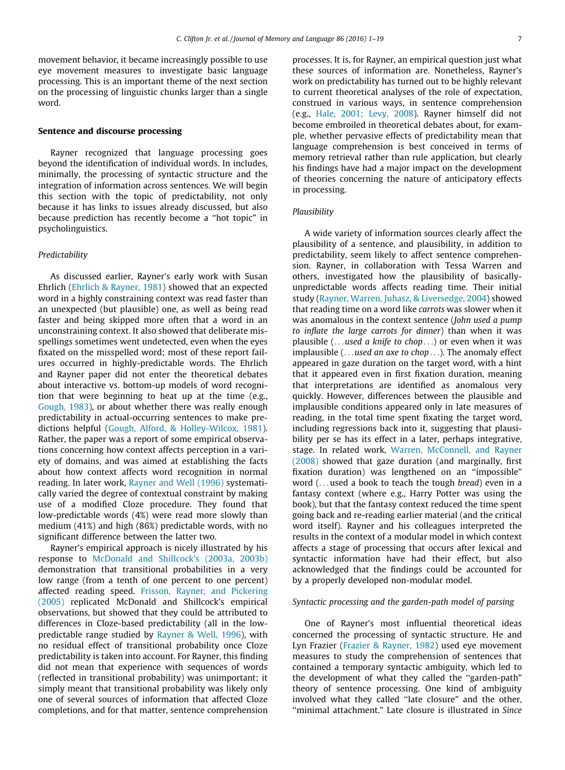movement behavior, it became increasingly possible to use eye movement measures to investigate basic language processing. This is an important theme of the next section on the processing of linguistic chunks larger than a single word.

#### Sentence and discourse processing

Rayner recognized that language processing goes beyond the identification of individual words. In includes, minimally, the processing of syntactic structure and the integration of information across sentences. We will begin this section with the topic of predictability, not only because it has links to issues already discussed, but also because prediction has recently become a ''hot topic" in psycholinguistics.

### Predictability

As discussed earlier, Rayner's early work with Susan Ehrlich [\(Ehrlich & Rayner, 1981\)](#page-14-0) showed that an expected word in a highly constraining context was read faster than an unexpected (but plausible) one, as well as being read faster and being skipped more often that a word in an unconstraining context. It also showed that deliberate misspellings sometimes went undetected, even when the eyes fixated on the misspelled word; most of these report failures occurred in highly-predictable words. The Ehrlich and Rayner paper did not enter the theoretical debates about interactive vs. bottom-up models of word recognition that were beginning to heat up at the time (e.g., [Gough, 1983\)](#page-14-0), or about whether there was really enough predictability in actual-occurring sentences to make predictions helpful [\(Gough, Alford, & Holley-Wilcox, 1981](#page-14-0)). Rather, the paper was a report of some empirical observations concerning how context affects perception in a variety of domains, and was aimed at establishing the facts about how context affects word recognition in normal reading. In later work, [Rayner and Well \(1996\)](#page-17-0) systematically varied the degree of contextual constraint by making use of a modified Cloze procedure. They found that low-predictable words (4%) were read more slowly than medium (41%) and high (86%) predictable words, with no significant difference between the latter two.

Rayner's empirical approach is nicely illustrated by his response to [McDonald and Shillcock's \(2003a, 2003b\)](#page-15-0) demonstration that transitional probabilities in a very low range (from a tenth of one percent to one percent) affected reading speed. [Frisson, Rayner, and Pickering](#page-14-0) [\(2005\)](#page-14-0) replicated McDonald and Shillcock's empirical observations, but showed that they could be attributed to differences in Cloze-based predictability (all in the lowpredictable range studied by [Rayner & Well, 1996](#page-17-0)), with no residual effect of transitional probability once Cloze predictability is taken into account. For Rayner, this finding did not mean that experience with sequences of words (reflected in transitional probability) was unimportant; it simply meant that transitional probability was likely only one of several sources of information that affected Cloze completions, and for that matter, sentence comprehension

processes. It is, for Rayner, an empirical question just what these sources of information are. Nonetheless, Rayner's work on predictability has turned out to be highly relevant to current theoretical analyses of the role of expectation, construed in various ways, in sentence comprehension (e.g., [Hale, 2001; Levy, 2008\)](#page-14-0). Rayner himself did not become embroiled in theoretical debates about, for example, whether pervasive effects of predictability mean that language comprehension is best conceived in terms of memory retrieval rather than rule application, but clearly his findings have had a major impact on the development of theories concerning the nature of anticipatory effects in processing.

## Plausibility

A wide variety of information sources clearly affect the plausibility of a sentence, and plausibility, in addition to predictability, seem likely to affect sentence comprehension. Rayner, in collaboration with Tessa Warren and others, investigated how the plausibility of basicallyunpredictable words affects reading time. Their initial study ([Rayner, Warren, Juhasz, & Liversedge, 2004\)](#page-17-0) showed that reading time on a word like carrots was slower when it was anomalous in the context sentence (John used a pump to inflate the large carrots for dinner) than when it was plausible (...used a knife to chop...) or even when it was implausible  $(...$ used an axe to chop...). The anomaly effect appeared in gaze duration on the target word, with a hint that it appeared even in first fixation duration, meaning that interpretations are identified as anomalous very quickly. However, differences between the plausible and implausible conditions appeared only in late measures of reading, in the total time spent fixating the target word, including regressions back into it, suggesting that plausibility per se has its effect in a later, perhaps integrative, stage. In related work, [Warren, McConnell, and Rayner](#page-18-0) [\(2008\)](#page-18-0) showed that gaze duration (and marginally, first fixation duration) was lengthened on an "impossible" word (...used a book to teach the tough bread) even in a fantasy context (where e.g., Harry Potter was using the book), but that the fantasy context reduced the time spent going back and re-reading earlier material (and the critical word itself). Rayner and his colleagues interpreted the results in the context of a modular model in which context affects a stage of processing that occurs after lexical and syntactic information have had their effect, but also acknowledged that the findings could be accounted for by a properly developed non-modular model.

#### Syntactic processing and the garden-path model of parsing

One of Rayner's most influential theoretical ideas concerned the processing of syntactic structure. He and Lyn Frazier ([Frazier & Rayner, 1982](#page-14-0)) used eye movement measures to study the comprehension of sentences that contained a temporary syntactic ambiguity, which led to the development of what they called the ''garden-path" theory of sentence processing. One kind of ambiguity involved what they called ''late closure" and the other, ''minimal attachment." Late closure is illustrated in Since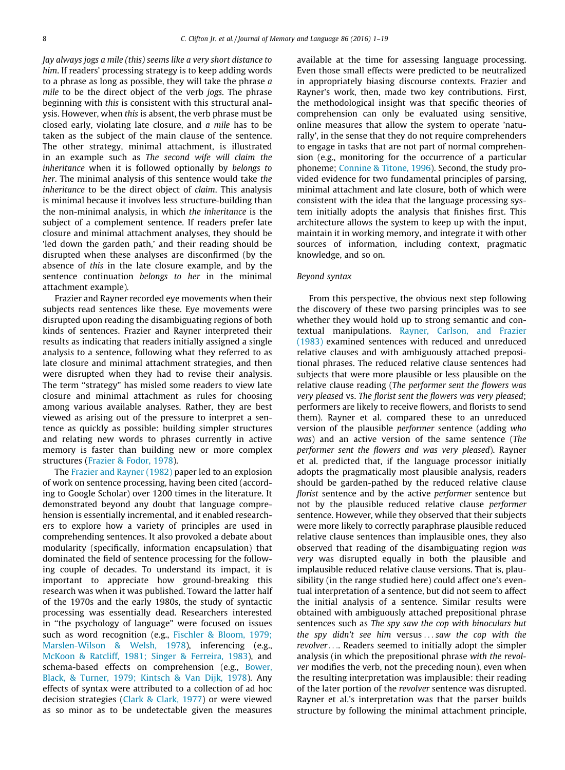Jay always jogs a mile (this) seems like a very short distance to him. If readers' processing strategy is to keep adding words to a phrase as long as possible, they will take the phrase  $a$ mile to be the direct object of the verb jogs. The phrase beginning with this is consistent with this structural analysis. However, when this is absent, the verb phrase must be closed early, violating late closure, and a mile has to be taken as the subject of the main clause of the sentence. The other strategy, minimal attachment, is illustrated in an example such as The second wife will claim the inheritance when it is followed optionally by belongs to her. The minimal analysis of this sentence would take the inheritance to be the direct object of claim. This analysis is minimal because it involves less structure-building than the non-minimal analysis, in which the inheritance is the subject of a complement sentence. If readers prefer late closure and minimal attachment analyses, they should be 'led down the garden path,' and their reading should be disrupted when these analyses are disconfirmed (by the absence of this in the late closure example, and by the sentence continuation belongs to her in the minimal attachment example).

Frazier and Rayner recorded eye movements when their subjects read sentences like these. Eye movements were disrupted upon reading the disambiguating regions of both kinds of sentences. Frazier and Rayner interpreted their results as indicating that readers initially assigned a single analysis to a sentence, following what they referred to as late closure and minimal attachment strategies, and then were disrupted when they had to revise their analysis. The term ''strategy" has misled some readers to view late closure and minimal attachment as rules for choosing among various available analyses. Rather, they are best viewed as arising out of the pressure to interpret a sentence as quickly as possible: building simpler structures and relating new words to phrases currently in active memory is faster than building new or more complex structures ([Frazier & Fodor, 1978\)](#page-14-0).

The [Frazier and Rayner \(1982\)](#page-14-0) paper led to an explosion of work on sentence processing, having been cited (according to Google Scholar) over 1200 times in the literature. It demonstrated beyond any doubt that language comprehension is essentially incremental, and it enabled researchers to explore how a variety of principles are used in comprehending sentences. It also provoked a debate about modularity (specifically, information encapsulation) that dominated the field of sentence processing for the following couple of decades. To understand its impact, it is important to appreciate how ground-breaking this research was when it was published. Toward the latter half of the 1970s and the early 1980s, the study of syntactic processing was essentially dead. Researchers interested in ''the psychology of language" were focused on issues such as word recognition (e.g., [Fischler & Bloom, 1979;](#page-14-0) [Marslen-Wilson & Welsh, 1978](#page-14-0)), inferencing (e.g., [McKoon & Ratcliff, 1981; Singer & Ferreira, 1983\)](#page-16-0), and schema-based effects on comprehension (e.g., [Bower,](#page-14-0) [Black, & Turner, 1979; Kintsch & Van Dijk, 1978](#page-14-0)). Any effects of syntax were attributed to a collection of ad hoc decision strategies ([Clark & Clark, 1977\)](#page-14-0) or were viewed as so minor as to be undetectable given the measures

available at the time for assessing language processing. Even those small effects were predicted to be neutralized in appropriately biasing discourse contexts. Frazier and Rayner's work, then, made two key contributions. First, the methodological insight was that specific theories of comprehension can only be evaluated using sensitive, online measures that allow the system to operate 'naturally', in the sense that they do not require comprehenders to engage in tasks that are not part of normal comprehension (e.g., monitoring for the occurrence of a particular phoneme; [Connine & Titone, 1996](#page-14-0)). Second, the study provided evidence for two fundamental principles of parsing, minimal attachment and late closure, both of which were consistent with the idea that the language processing system initially adopts the analysis that finishes first. This architecture allows the system to keep up with the input, maintain it in working memory, and integrate it with other sources of information, including context, pragmatic knowledge, and so on.

## Beyond syntax

From this perspective, the obvious next step following the discovery of these two parsing principles was to see whether they would hold up to strong semantic and contextual manipulations. [Rayner, Carlson, and Frazier](#page-16-0) [\(1983\)](#page-16-0) examined sentences with reduced and unreduced relative clauses and with ambiguously attached prepositional phrases. The reduced relative clause sentences had subjects that were more plausible or less plausible on the relative clause reading (The performer sent the flowers was very pleased vs. The florist sent the flowers was very pleased; performers are likely to receive flowers, and florists to send them). Rayner et al. compared these to an unreduced version of the plausible performer sentence (adding who was) and an active version of the same sentence (The performer sent the flowers and was very pleased). Rayner et al. predicted that, if the language processor initially adopts the pragmatically most plausible analysis, readers should be garden-pathed by the reduced relative clause florist sentence and by the active performer sentence but not by the plausible reduced relative clause performer sentence. However, while they observed that their subjects were more likely to correctly paraphrase plausible reduced relative clause sentences than implausible ones, they also observed that reading of the disambiguating region was very was disrupted equally in both the plausible and implausible reduced relative clause versions. That is, plausibility (in the range studied here) could affect one's eventual interpretation of a sentence, but did not seem to affect the initial analysis of a sentence. Similar results were obtained with ambiguously attached prepositional phrase sentences such as The spy saw the cop with binoculars but the spy didn't see him versus ... saw the cop with the revolver.... Readers seemed to initially adopt the simpler analysis (in which the prepositional phrase with the revolver modifies the verb, not the preceding noun), even when the resulting interpretation was implausible: their reading of the later portion of the revolver sentence was disrupted. Rayner et al.'s interpretation was that the parser builds structure by following the minimal attachment principle,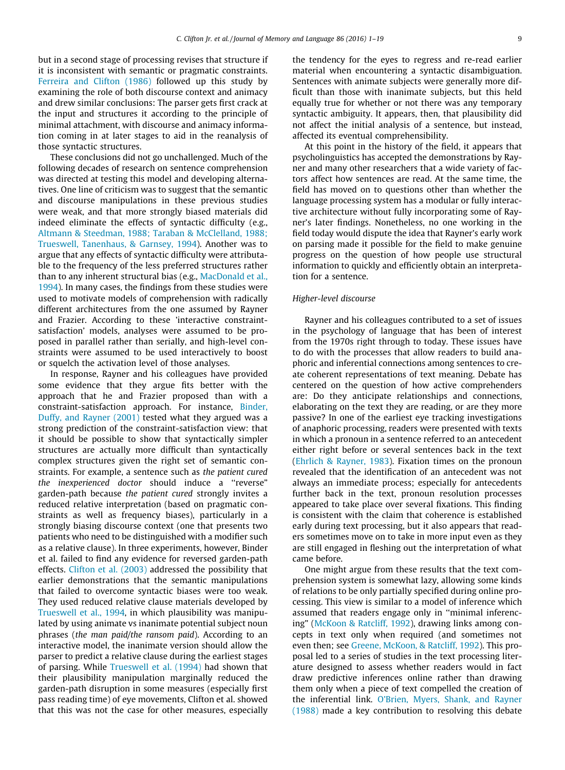but in a second stage of processing revises that structure if it is inconsistent with semantic or pragmatic constraints. [Ferreira and Clifton \(1986\)](#page-14-0) followed up this study by examining the role of both discourse context and animacy and drew similar conclusions: The parser gets first crack at the input and structures it according to the principle of minimal attachment, with discourse and animacy information coming in at later stages to aid in the reanalysis of those syntactic structures.

These conclusions did not go unchallenged. Much of the following decades of research on sentence comprehension was directed at testing this model and developing alternatives. One line of criticism was to suggest that the semantic and discourse manipulations in these previous studies were weak, and that more strongly biased materials did indeed eliminate the effects of syntactic difficulty (e.g., [Altmann & Steedman, 1988; Taraban & McClelland, 1988;](#page-14-0) [Trueswell, Tanenhaus, & Garnsey, 1994\)](#page-14-0). Another was to argue that any effects of syntactic difficulty were attributable to the frequency of the less preferred structures rather than to any inherent structural bias (e.g., [MacDonald et al.,](#page-15-0) [1994\)](#page-15-0). In many cases, the findings from these studies were used to motivate models of comprehension with radically different architectures from the one assumed by Rayner and Frazier. According to these 'interactive constraintsatisfaction' models, analyses were assumed to be proposed in parallel rather than serially, and high-level constraints were assumed to be used interactively to boost or squelch the activation level of those analyses.

In response, Rayner and his colleagues have provided some evidence that they argue fits better with the approach that he and Frazier proposed than with a constraint-satisfaction approach. For instance, [Binder,](#page-14-0) [Duffy, and Rayner \(2001\)](#page-14-0) tested what they argued was a strong prediction of the constraint-satisfaction view: that it should be possible to show that syntactically simpler structures are actually more difficult than syntactically complex structures given the right set of semantic constraints. For example, a sentence such as the patient cured the inexperienced doctor should induce a ''reverse" garden-path because the patient cured strongly invites a reduced relative interpretation (based on pragmatic constraints as well as frequency biases), particularly in a strongly biasing discourse context (one that presents two patients who need to be distinguished with a modifier such as a relative clause). In three experiments, however, Binder et al. failed to find any evidence for reversed garden-path effects. [Clifton et al. \(2003\)](#page-14-0) addressed the possibility that earlier demonstrations that the semantic manipulations that failed to overcome syntactic biases were too weak. They used reduced relative clause materials developed by [Trueswell et al., 1994](#page-18-0), in which plausibility was manipulated by using animate vs inanimate potential subject noun phrases (the man paid/the ransom paid). According to an interactive model, the inanimate version should allow the parser to predict a relative clause during the earliest stages of parsing. While [Trueswell et al. \(1994\)](#page-18-0) had shown that their plausibility manipulation marginally reduced the garden-path disruption in some measures (especially first pass reading time) of eye movements, Clifton et al. showed that this was not the case for other measures, especially

the tendency for the eyes to regress and re-read earlier material when encountering a syntactic disambiguation. Sentences with animate subjects were generally more difficult than those with inanimate subjects, but this held equally true for whether or not there was any temporary syntactic ambiguity. It appears, then, that plausibility did not affect the initial analysis of a sentence, but instead, affected its eventual comprehensibility.

At this point in the history of the field, it appears that psycholinguistics has accepted the demonstrations by Rayner and many other researchers that a wide variety of factors affect how sentences are read. At the same time, the field has moved on to questions other than whether the language processing system has a modular or fully interactive architecture without fully incorporating some of Rayner's later findings. Nonetheless, no one working in the field today would dispute the idea that Rayner's early work on parsing made it possible for the field to make genuine progress on the question of how people use structural information to quickly and efficiently obtain an interpretation for a sentence.

## Higher-level discourse

Rayner and his colleagues contributed to a set of issues in the psychology of language that has been of interest from the 1970s right through to today. These issues have to do with the processes that allow readers to build anaphoric and inferential connections among sentences to create coherent representations of text meaning. Debate has centered on the question of how active comprehenders are: Do they anticipate relationships and connections, elaborating on the text they are reading, or are they more passive? In one of the earliest eye tracking investigations of anaphoric processing, readers were presented with texts in which a pronoun in a sentence referred to an antecedent either right before or several sentences back in the text [\(Ehrlich & Rayner, 1983](#page-14-0)). Fixation times on the pronoun revealed that the identification of an antecedent was not always an immediate process; especially for antecedents further back in the text, pronoun resolution processes appeared to take place over several fixations. This finding is consistent with the claim that coherence is established early during text processing, but it also appears that readers sometimes move on to take in more input even as they are still engaged in fleshing out the interpretation of what came before.

One might argue from these results that the text comprehension system is somewhat lazy, allowing some kinds of relations to be only partially specified during online processing. This view is similar to a model of inference which assumed that readers engage only in ''minimal inferencing" [\(McKoon & Ratcliff, 1992](#page-16-0)), drawing links among concepts in text only when required (and sometimes not even then; see [Greene, McKoon, & Ratcliff, 1992](#page-14-0)). This proposal led to a series of studies in the text processing literature designed to assess whether readers would in fact draw predictive inferences online rather than drawing them only when a piece of text compelled the creation of the inferential link. [O'Brien, Myers, Shank, and Rayner](#page-16-0) [\(1988\)](#page-16-0) made a key contribution to resolving this debate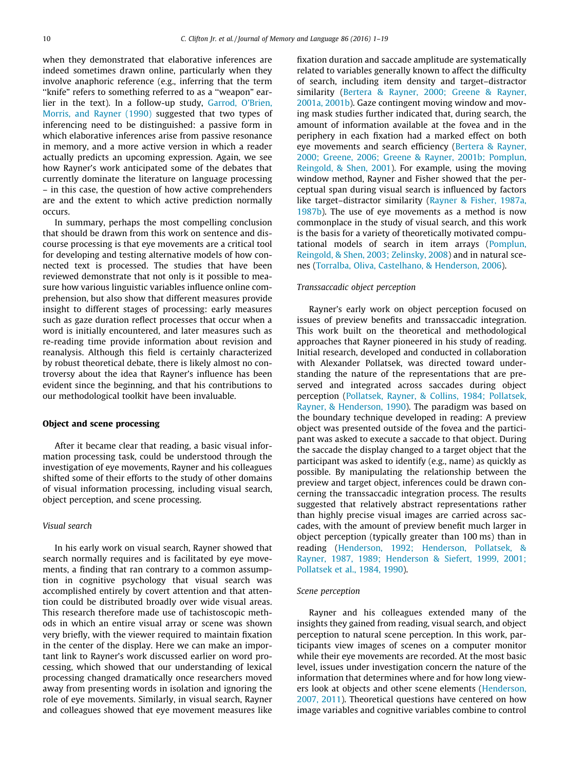when they demonstrated that elaborative inferences are indeed sometimes drawn online, particularly when they involve anaphoric reference (e.g., inferring that the term ''knife" refers to something referred to as a ''weapon" earlier in the text). In a follow-up study, [Garrod, O'Brien,](#page-14-0) [Morris, and Rayner \(1990\)](#page-14-0) suggested that two types of inferencing need to be distinguished: a passive form in which elaborative inferences arise from passive resonance in memory, and a more active version in which a reader actually predicts an upcoming expression. Again, we see how Rayner's work anticipated some of the debates that currently dominate the literature on language processing – in this case, the question of how active comprehenders are and the extent to which active prediction normally occurs.

In summary, perhaps the most compelling conclusion that should be drawn from this work on sentence and discourse processing is that eye movements are a critical tool for developing and testing alternative models of how connected text is processed. The studies that have been reviewed demonstrate that not only is it possible to measure how various linguistic variables influence online comprehension, but also show that different measures provide insight to different stages of processing: early measures such as gaze duration reflect processes that occur when a word is initially encountered, and later measures such as re-reading time provide information about revision and reanalysis. Although this field is certainly characterized by robust theoretical debate, there is likely almost no controversy about the idea that Rayner's influence has been evident since the beginning, and that his contributions to our methodological toolkit have been invaluable.

### Object and scene processing

After it became clear that reading, a basic visual information processing task, could be understood through the investigation of eye movements, Rayner and his colleagues shifted some of their efforts to the study of other domains of visual information processing, including visual search, object perception, and scene processing.

## Visual search

In his early work on visual search, Rayner showed that search normally requires and is facilitated by eye movements, a finding that ran contrary to a common assumption in cognitive psychology that visual search was accomplished entirely by covert attention and that attention could be distributed broadly over wide visual areas. This research therefore made use of tachistoscopic methods in which an entire visual array or scene was shown very briefly, with the viewer required to maintain fixation in the center of the display. Here we can make an important link to Rayner's work discussed earlier on word processing, which showed that our understanding of lexical processing changed dramatically once researchers moved away from presenting words in isolation and ignoring the role of eye movements. Similarly, in visual search, Rayner and colleagues showed that eye movement measures like

fixation duration and saccade amplitude are systematically related to variables generally known to affect the difficulty of search, including item density and target–distractor similarity ([Bertera & Rayner, 2000; Greene & Rayner,](#page-14-0) [2001a, 2001b](#page-14-0)). Gaze contingent moving window and moving mask studies further indicated that, during search, the amount of information available at the fovea and in the periphery in each fixation had a marked effect on both eye movements and search efficiency ([Bertera & Rayner,](#page-14-0) [2000; Greene, 2006; Greene & Rayner, 2001b; Pomplun,](#page-14-0) [Reingold, & Shen, 2001\)](#page-14-0). For example, using the moving window method, Rayner and Fisher showed that the perceptual span during visual search is influenced by factors like target–distractor similarity [\(Rayner & Fisher, 1987a,](#page-16-0) [1987b](#page-16-0)). The use of eye movements as a method is now commonplace in the study of visual search, and this work is the basis for a variety of theoretically motivated computational models of search in item arrays ([Pomplun,](#page-16-0) [Reingold, & Shen, 2003; Zelinsky, 2008\)](#page-16-0) and in natural scenes ([Torralba, Oliva, Castelhano, & Henderson, 2006](#page-18-0)).

## Transsaccadic object perception

Rayner's early work on object perception focused on issues of preview benefits and transsaccadic integration. This work built on the theoretical and methodological approaches that Rayner pioneered in his study of reading. Initial research, developed and conducted in collaboration with Alexander Pollatsek, was directed toward understanding the nature of the representations that are preserved and integrated across saccades during object perception ([Pollatsek, Rayner, & Collins, 1984; Pollatsek,](#page-16-0) [Rayner, & Henderson, 1990](#page-16-0)). The paradigm was based on the boundary technique developed in reading: A preview object was presented outside of the fovea and the participant was asked to execute a saccade to that object. During the saccade the display changed to a target object that the participant was asked to identify (e.g., name) as quickly as possible. By manipulating the relationship between the preview and target object, inferences could be drawn concerning the transsaccadic integration process. The results suggested that relatively abstract representations rather than highly precise visual images are carried across saccades, with the amount of preview benefit much larger in object perception (typically greater than 100 ms) than in reading ([Henderson, 1992; Henderson, Pollatsek, &](#page-14-0) [Rayner, 1987, 1989; Henderson & Siefert, 1999, 2001;](#page-14-0) [Pollatsek et al., 1984, 1990](#page-14-0)).

#### Scene perception

Rayner and his colleagues extended many of the insights they gained from reading, visual search, and object perception to natural scene perception. In this work, participants view images of scenes on a computer monitor while their eye movements are recorded. At the most basic level, issues under investigation concern the nature of the information that determines where and for how long view-ers look at objects and other scene elements ([Henderson,](#page-14-0) [2007, 2011\)](#page-14-0). Theoretical questions have centered on how image variables and cognitive variables combine to control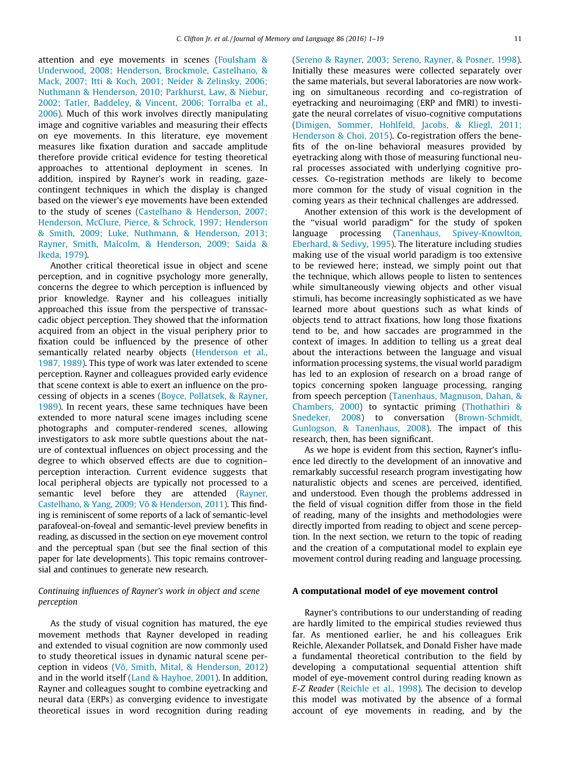attention and eye movements in scenes [\(Foulsham &](#page-14-0) [Underwood, 2008; Henderson, Brockmole, Castelhano, &](#page-14-0) [Mack, 2007; Itti & Koch, 2001; Neider & Zelinsky, 2006;](#page-14-0) [Nuthmann & Henderson, 2010; Parkhurst, Law, & Niebur,](#page-14-0) [2002; Tatler, Baddeley, & Vincent, 2006; Torralba et al.,](#page-14-0) [2006\)](#page-14-0). Much of this work involves directly manipulating image and cognitive variables and measuring their effects on eye movements. In this literature, eye movement measures like fixation duration and saccade amplitude therefore provide critical evidence for testing theoretical approaches to attentional deployment in scenes. In addition, inspired by Rayner's work in reading, gazecontingent techniques in which the display is changed based on the viewer's eye movements have been extended to the study of scenes ([Castelhano & Henderson, 2007;](#page-14-0) [Henderson, McClure, Pierce, & Schrock, 1997; Henderson](#page-14-0) [& Smith, 2009; Luke, Nuthmann, & Henderson, 2013;](#page-14-0) [Rayner, Smith, Malcolm, & Henderson, 2009; Saida &](#page-14-0) [Ikeda, 1979\)](#page-14-0).

Another critical theoretical issue in object and scene perception, and in cognitive psychology more generally, concerns the degree to which perception is influenced by prior knowledge. Rayner and his colleagues initially approached this issue from the perspective of transsaccadic object perception. They showed that the information acquired from an object in the visual periphery prior to fixation could be influenced by the presence of other semantically related nearby objects [\(Henderson et al.,](#page-15-0) [1987, 1989\)](#page-15-0). This type of work was later extended to scene perception. Rayner and colleagues provided early evidence that scene context is able to exert an influence on the processing of objects in a scenes [\(Boyce, Pollatsek, & Rayner,](#page-14-0) [1989\)](#page-14-0). In recent years, these same techniques have been extended to more natural scene images including scene photographs and computer-rendered scenes, allowing investigators to ask more subtle questions about the nature of contextual influences on object processing and the degree to which observed effects are due to cognition– perception interaction. Current evidence suggests that local peripheral objects are typically not processed to a semantic level before they are attended ([Rayner,](#page-16-0) [Castelhano, & Yang, 2009; Võ & Henderson, 2011\)](#page-16-0). This finding is reminiscent of some reports of a lack of semantic-level parafoveal-on-foveal and semantic-level preview benefits in reading, as discussed in the section on eye movement control and the perceptual span (but see the final section of this paper for late developments). This topic remains controversial and continues to generate new research.

## Continuing influences of Rayner's work in object and scene perception

As the study of visual cognition has matured, the eye movement methods that Rayner developed in reading and extended to visual cognition are now commonly used to study theoretical issues in dynamic natural scene perception in videos ([Võ, Smith, Mital, & Henderson, 2012](#page-18-0)) and in the world itself ([Land & Hayhoe, 2001](#page-15-0)). In addition, Rayner and colleagues sought to combine eyetracking and neural data (ERPs) as converging evidence to investigate theoretical issues in word recognition during reading [\(Sereno & Rayner, 2003; Sereno, Rayner, & Posner, 1998](#page-17-0)). Initially these measures were collected separately over the same materials, but several laboratories are now working on simultaneous recording and co-registration of eyetracking and neuroimaging (ERP and fMRI) to investigate the neural correlates of visuo-cognitive computations [\(Dimigen, Sommer, Hohlfeld, Jacobs, & Kliegl, 2011;](#page-14-0) [Henderson & Choi, 2015\)](#page-14-0). Co-registration offers the benefits of the on-line behavioral measures provided by eyetracking along with those of measuring functional neural processes associated with underlying cognitive processes. Co-registration methods are likely to become more common for the study of visual cognition in the coming years as their technical challenges are addressed.

Another extension of this work is the development of the ''visual world paradigm" for the study of spoken language processing [\(Tanenhaus, Spivey-Knowlton,](#page-17-0) [Eberhard, & Sedivy, 1995\)](#page-17-0). The literature including studies making use of the visual world paradigm is too extensive to be reviewed here; instead, we simply point out that the technique, which allows people to listen to sentences while simultaneously viewing objects and other visual stimuli, has become increasingly sophisticated as we have learned more about questions such as what kinds of objects tend to attract fixations, how long those fixations tend to be, and how saccades are programmed in the context of images. In addition to telling us a great deal about the interactions between the language and visual information processing systems, the visual world paradigm has led to an explosion of research on a broad range of topics concerning spoken language processing, ranging from speech perception [\(Tanenhaus, Magnuson, Dahan, &](#page-17-0) [Chambers, 2000](#page-17-0)) to syntactic priming ([Thothathiri &](#page-17-0) [Snedeker, 2008\)](#page-17-0) to conversation [\(Brown-Schmidt,](#page-14-0) [Gunlogson, & Tanenhaus, 2008\)](#page-14-0). The impact of this research, then, has been significant.

As we hope is evident from this section, Rayner's influence led directly to the development of an innovative and remarkably successful research program investigating how naturalistic objects and scenes are perceived, identified, and understood. Even though the problems addressed in the field of visual cognition differ from those in the field of reading, many of the insights and methodologies were directly imported from reading to object and scene perception. In the next section, we return to the topic of reading and the creation of a computational model to explain eye movement control during reading and language processing.

#### A computational model of eye movement control

Rayner's contributions to our understanding of reading are hardly limited to the empirical studies reviewed thus far. As mentioned earlier, he and his colleagues Erik Reichle, Alexander Pollatsek, and Donald Fisher have made a fundamental theoretical contribution to the field by developing a computational sequential attention shift model of eye-movement control during reading known as E-Z Reader [\(Reichle et al., 1998\)](#page-17-0). The decision to develop this model was motivated by the absence of a formal account of eye movements in reading, and by the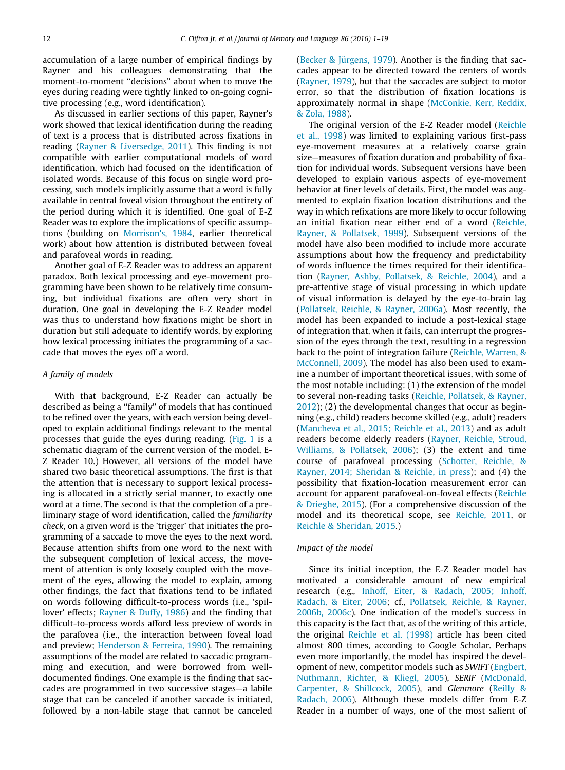accumulation of a large number of empirical findings by Rayner and his colleagues demonstrating that the moment-to-moment ''decisions" about when to move the eyes during reading were tightly linked to on-going cognitive processing (e.g., word identification).

As discussed in earlier sections of this paper, Rayner's work showed that lexical identification during the reading of text is a process that is distributed across fixations in reading ([Rayner & Liversedge, 2011\)](#page-16-0). This finding is not compatible with earlier computational models of word identification, which had focused on the identification of isolated words. Because of this focus on single word processing, such models implicitly assume that a word is fully available in central foveal vision throughout the entirety of the period during which it is identified. One goal of E-Z Reader was to explore the implications of specific assumptions (building on [Morrison's, 1984](#page-16-0), earlier theoretical work) about how attention is distributed between foveal and parafoveal words in reading.

Another goal of E-Z Reader was to address an apparent paradox. Both lexical processing and eye-movement programming have been shown to be relatively time consuming, but individual fixations are often very short in duration. One goal in developing the E-Z Reader model was thus to understand how fixations might be short in duration but still adequate to identify words, by exploring how lexical processing initiates the programming of a saccade that moves the eyes off a word.

## A family of models

With that background, E-Z Reader can actually be described as being a ''family" of models that has continued to be refined over the years, with each version being developed to explain additional findings relevant to the mental processes that guide the eyes during reading. [\(Fig. 1](#page-12-0) is a schematic diagram of the current version of the model, E-Z Reader 10.) However, all versions of the model have shared two basic theoretical assumptions. The first is that the attention that is necessary to support lexical processing is allocated in a strictly serial manner, to exactly one word at a time. The second is that the completion of a preliminary stage of word identification, called the familiarity check, on a given word is the 'trigger' that initiates the programming of a saccade to move the eyes to the next word. Because attention shifts from one word to the next with the subsequent completion of lexical access, the movement of attention is only loosely coupled with the movement of the eyes, allowing the model to explain, among other findings, the fact that fixations tend to be inflated on words following difficult-to-process words (i.e., 'spillover' effects; [Rayner & Duffy, 1986\)](#page-16-0) and the finding that difficult-to-process words afford less preview of words in the parafovea (i.e., the interaction between foveal load and preview; [Henderson & Ferreira, 1990](#page-15-0)). The remaining assumptions of the model are related to saccadic programming and execution, and were borrowed from welldocumented findings. One example is the finding that saccades are programmed in two successive stages—a labile stage that can be canceled if another saccade is initiated, followed by a non-labile stage that cannot be canceled

[\(Becker & Jürgens, 1979](#page-14-0)). Another is the finding that saccades appear to be directed toward the centers of words [\(Rayner, 1979](#page-16-0)), but that the saccades are subject to motor error, so that the distribution of fixation locations is approximately normal in shape [\(McConkie, Kerr, Reddix,](#page-15-0) [& Zola, 1988](#page-15-0)).

The original version of the E-Z Reader model [\(Reichle](#page-17-0) [et al., 1998\)](#page-17-0) was limited to explaining various first-pass eye-movement measures at a relatively coarse grain size—measures of fixation duration and probability of fixation for individual words. Subsequent versions have been developed to explain various aspects of eye-movement behavior at finer levels of details. First, the model was augmented to explain fixation location distributions and the way in which refixations are more likely to occur following an initial fixation near either end of a word [\(Reichle,](#page-17-0) [Rayner, & Pollatsek, 1999\)](#page-17-0). Subsequent versions of the model have also been modified to include more accurate assumptions about how the frequency and predictability of words influence the times required for their identification ([Rayner, Ashby, Pollatsek, & Reichle, 2004\)](#page-16-0), and a pre-attentive stage of visual processing in which update of visual information is delayed by the eye-to-brain lag [\(Pollatsek, Reichle, & Rayner, 2006a\)](#page-16-0). Most recently, the model has been expanded to include a post-lexical stage of integration that, when it fails, can interrupt the progression of the eyes through the text, resulting in a regression back to the point of integration failure [\(Reichle, Warren, &](#page-17-0) [McConnell, 2009\)](#page-17-0). The model has also been used to examine a number of important theoretical issues, with some of the most notable including: (1) the extension of the model to several non-reading tasks [\(Reichle, Pollatsek, & Rayner,](#page-17-0) [2012](#page-17-0)); (2) the developmental changes that occur as beginning (e.g., child) readers become skilled (e.g., adult) readers [\(Mancheva et al., 2015; Reichle et al., 2013\)](#page-15-0) and as adult readers become elderly readers ([Rayner, Reichle, Stroud,](#page-17-0) [Williams, & Pollatsek, 2006\)](#page-17-0); (3) the extent and time course of parafoveal processing [\(Schotter, Reichle, &](#page-17-0) [Rayner, 2014; Sheridan & Reichle, in press](#page-17-0)); and (4) the possibility that fixation-location measurement error can account for apparent parafoveal-on-foveal effects [\(Reichle](#page-17-0) [& Drieghe, 2015](#page-17-0)). (For a comprehensive discussion of the model and its theoretical scope, see [Reichle, 2011,](#page-17-0) or [Reichle & Sheridan, 2015](#page-17-0).)

#### Impact of the model

Since its initial inception, the E-Z Reader model has motivated a considerable amount of new empirical research (e.g., [Inhoff, Eiter, & Radach, 2005; Inhoff,](#page-15-0) [Radach, & Eiter, 2006;](#page-15-0) cf., [Pollatsek, Reichle, & Rayner,](#page-16-0) [2006b, 2006c](#page-16-0)). One indication of the model's success in this capacity is the fact that, as of the writing of this article, the original [Reichle et al. \(1998\)](#page-17-0) article has been cited almost 800 times, according to Google Scholar. Perhaps even more importantly, the model has inspired the development of new, competitor models such as SWIFT [\(Engbert,](#page-14-0) [Nuthmann, Richter, & Kliegl, 2005](#page-14-0)), SERIF ([McDonald,](#page-15-0) [Carpenter, & Shillcock, 2005\)](#page-15-0), and Glenmore ([Reilly &](#page-17-0) [Radach, 2006](#page-17-0)). Although these models differ from E-Z Reader in a number of ways, one of the most salient of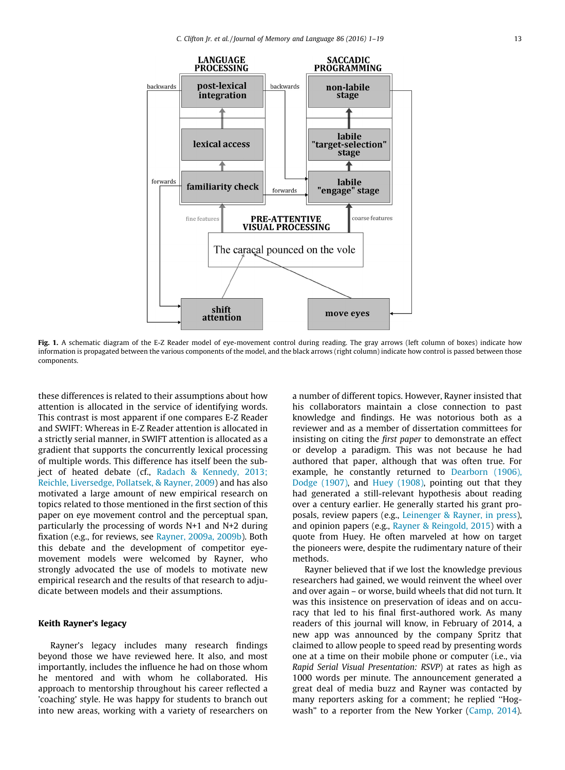<span id="page-12-0"></span>

Fig. 1. A schematic diagram of the E-Z Reader model of eye-movement control during reading. The gray arrows (left column of boxes) indicate how information is propagated between the various components of the model, and the black arrows (right column) indicate how control is passed between those components.

these differences is related to their assumptions about how attention is allocated in the service of identifying words. This contrast is most apparent if one compares E-Z Reader and SWIFT: Whereas in E-Z Reader attention is allocated in a strictly serial manner, in SWIFT attention is allocated as a gradient that supports the concurrently lexical processing of multiple words. This difference has itself been the subject of heated debate (cf., [Radach & Kennedy, 2013;](#page-16-0) [Reichle, Liversedge, Pollatsek, & Rayner, 2009\)](#page-16-0) and has also motivated a large amount of new empirical research on topics related to those mentioned in the first section of this paper on eye movement control and the perceptual span, particularly the processing of words N+1 and N+2 during fixation (e.g., for reviews, see [Rayner, 2009a, 2009b\)](#page-16-0). Both this debate and the development of competitor eyemovement models were welcomed by Rayner, who strongly advocated the use of models to motivate new empirical research and the results of that research to adjudicate between models and their assumptions.

## Keith Rayner's legacy

Rayner's legacy includes many research findings beyond those we have reviewed here. It also, and most importantly, includes the influence he had on those whom he mentored and with whom he collaborated. His approach to mentorship throughout his career reflected a 'coaching' style. He was happy for students to branch out into new areas, working with a variety of researchers on

a number of different topics. However, Rayner insisted that his collaborators maintain a close connection to past knowledge and findings. He was notorious both as a reviewer and as a member of dissertation committees for insisting on citing the first paper to demonstrate an effect or develop a paradigm. This was not because he had authored that paper, although that was often true. For example, he constantly returned to [Dearborn \(1906\),](#page-14-0) [Dodge \(1907\)](#page-14-0), and [Huey \(1908\)](#page-15-0), pointing out that they had generated a still-relevant hypothesis about reading over a century earlier. He generally started his grant proposals, review papers (e.g., [Leinenger & Rayner, in press](#page-15-0)), and opinion papers (e.g., [Rayner & Reingold, 2015\)](#page-17-0) with a quote from Huey. He often marveled at how on target the pioneers were, despite the rudimentary nature of their methods.

Rayner believed that if we lost the knowledge previous researchers had gained, we would reinvent the wheel over and over again – or worse, build wheels that did not turn. It was this insistence on preservation of ideas and on accuracy that led to his final first-authored work. As many readers of this journal will know, in February of 2014, a new app was announced by the company Spritz that claimed to allow people to speed read by presenting words one at a time on their mobile phone or computer (i.e., via Rapid Serial Visual Presentation: RSVP) at rates as high as 1000 words per minute. The announcement generated a great deal of media buzz and Rayner was contacted by many reporters asking for a comment; he replied ''Hog-wash" to a reporter from the New Yorker [\(Camp, 2014](#page-14-0)).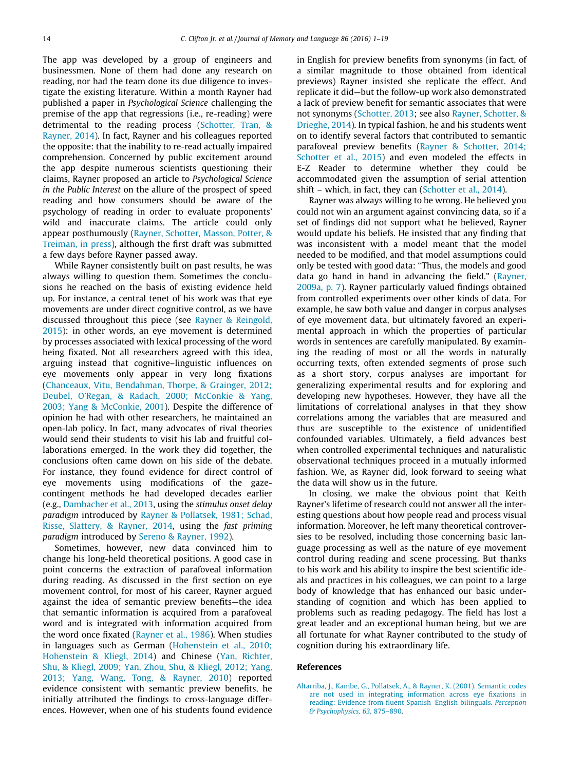<span id="page-13-0"></span>The app was developed by a group of engineers and businessmen. None of them had done any research on reading, nor had the team done its due diligence to investigate the existing literature. Within a month Rayner had published a paper in Psychological Science challenging the premise of the app that regressions (i.e., re-reading) were detrimental to the reading process [\(Schotter, Tran, &](#page-17-0) [Rayner, 2014](#page-17-0)). In fact, Rayner and his colleagues reported the opposite: that the inability to re-read actually impaired comprehension. Concerned by public excitement around the app despite numerous scientists questioning their claims, Rayner proposed an article to Psychological Science in the Public Interest on the allure of the prospect of speed reading and how consumers should be aware of the psychology of reading in order to evaluate proponents' wild and inaccurate claims. The article could only appear posthumously [\(Rayner, Schotter, Masson, Potter, &](#page-16-0) [Treiman, in press](#page-16-0)), although the first draft was submitted a few days before Rayner passed away.

While Rayner consistently built on past results, he was always willing to question them. Sometimes the conclusions he reached on the basis of existing evidence held up. For instance, a central tenet of his work was that eye movements are under direct cognitive control, as we have discussed throughout this piece (see [Rayner & Reingold,](#page-17-0) [2015](#page-17-0)): in other words, an eye movement is determined by processes associated with lexical processing of the word being fixated. Not all researchers agreed with this idea, arguing instead that cognitive–linguistic influences on eye movements only appear in very long fixations [\(Chanceaux, Vitu, Bendahman, Thorpe, & Grainger, 2012;](#page-14-0) [Deubel, O'Regan, & Radach, 2000; McConkie & Yang,](#page-14-0) [2003; Yang & McConkie, 2001\)](#page-14-0). Despite the difference of opinion he had with other researchers, he maintained an open-lab policy. In fact, many advocates of rival theories would send their students to visit his lab and fruitful collaborations emerged. In the work they did together, the conclusions often came down on his side of the debate. For instance, they found evidence for direct control of eye movements using modifications of the gazecontingent methods he had developed decades earlier (e.g., [Dambacher et al., 2013,](#page-14-0) using the stimulus onset delay paradigm introduced by [Rayner & Pollatsek, 1981; Schad,](#page-17-0) [Risse, Slattery, & Rayner, 2014](#page-17-0), using the fast priming paradigm introduced by [Sereno & Rayner, 1992\)](#page-17-0).

Sometimes, however, new data convinced him to change his long-held theoretical positions. A good case in point concerns the extraction of parafoveal information during reading. As discussed in the first section on eye movement control, for most of his career, Rayner argued against the idea of semantic preview benefits—the idea that semantic information is acquired from a parafoveal word and is integrated with information acquired from the word once fixated ([Rayner et al., 1986](#page-16-0)). When studies in languages such as German [\(Hohenstein et al., 2010;](#page-15-0) [Hohenstein & Kliegl, 2014\)](#page-15-0) and Chinese [\(Yan, Richter,](#page-18-0) [Shu, & Kliegl, 2009; Yan, Zhou, Shu, & Kliegl, 2012; Yang,](#page-18-0) [2013; Yang, Wang, Tong, & Rayner, 2010](#page-18-0)) reported evidence consistent with semantic preview benefits, he initially attributed the findings to cross-language differences. However, when one of his students found evidence

in English for preview benefits from synonyms (in fact, of a similar magnitude to those obtained from identical previews) Rayner insisted she replicate the effect. And replicate it did—but the follow-up work also demonstrated a lack of preview benefit for semantic associates that were not synonyms ([Schotter, 2013](#page-17-0); see also [Rayner, Schotter, &](#page-17-0) [Drieghe, 2014\)](#page-17-0). In typical fashion, he and his students went on to identify several factors that contributed to semantic parafoveal preview benefits ([Rayner & Schotter, 2014;](#page-17-0) [Schotter et al., 2015](#page-17-0)) and even modeled the effects in E-Z Reader to determine whether they could be accommodated given the assumption of serial attention shift – which, in fact, they can ([Schotter et al., 2014\)](#page-17-0).

Rayner was always willing to be wrong. He believed you could not win an argument against convincing data, so if a set of findings did not support what he believed, Rayner would update his beliefs. He insisted that any finding that was inconsistent with a model meant that the model needed to be modified, and that model assumptions could only be tested with good data: ''Thus, the models and good data go hand in hand in advancing the field." [\(Rayner,](#page-16-0) [2009a, p. 7\)](#page-16-0). Rayner particularly valued findings obtained from controlled experiments over other kinds of data. For example, he saw both value and danger in corpus analyses of eye movement data, but ultimately favored an experimental approach in which the properties of particular words in sentences are carefully manipulated. By examining the reading of most or all the words in naturally occurring texts, often extended segments of prose such as a short story, corpus analyses are important for generalizing experimental results and for exploring and developing new hypotheses. However, they have all the limitations of correlational analyses in that they show correlations among the variables that are measured and thus are susceptible to the existence of unidentified confounded variables. Ultimately, a field advances best when controlled experimental techniques and naturalistic observational techniques proceed in a mutually informed fashion. We, as Rayner did, look forward to seeing what the data will show us in the future.

In closing, we make the obvious point that Keith Rayner's lifetime of research could not answer all the interesting questions about how people read and process visual information. Moreover, he left many theoretical controversies to be resolved, including those concerning basic language processing as well as the nature of eye movement control during reading and scene processing. But thanks to his work and his ability to inspire the best scientific ideals and practices in his colleagues, we can point to a large body of knowledge that has enhanced our basic understanding of cognition and which has been applied to problems such as reading pedagogy. The field has lost a great leader and an exceptional human being, but we are all fortunate for what Rayner contributed to the study of cognition during his extraordinary life.

## References

[Altarriba, J., Kambe, G., Pollatsek, A., & Rayner, K. \(2001\). Semantic codes](http://refhub.elsevier.com/S0749-596X(15)00096-0/h0005) [are not used in integrating information across eye fixations in](http://refhub.elsevier.com/S0749-596X(15)00096-0/h0005) [reading: Evidence from fluent Spanish–English bilinguals.](http://refhub.elsevier.com/S0749-596X(15)00096-0/h0005) Perception [& Psychophysics, 63](http://refhub.elsevier.com/S0749-596X(15)00096-0/h0005), 875–890.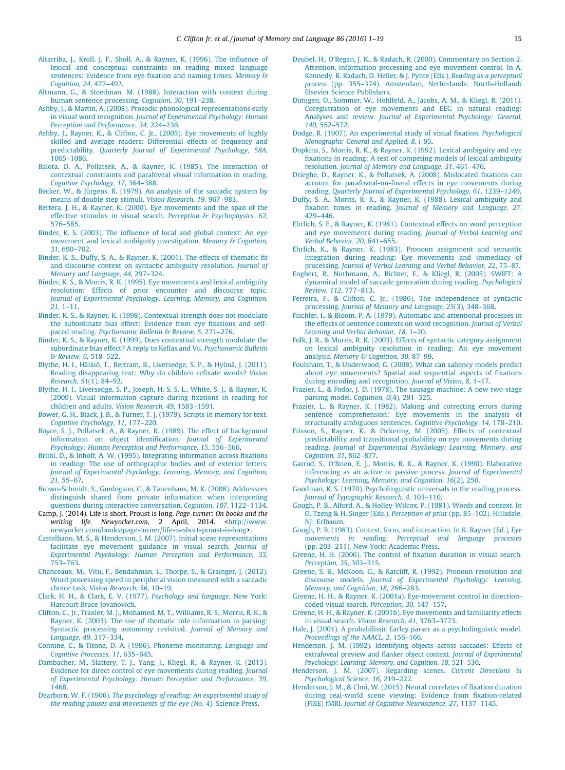- <span id="page-14-0"></span>[Altarriba, J., Kroll, J. F., Sholl, A., & Rayner, K. \(1996\). The influence of](http://refhub.elsevier.com/S0749-596X(15)00096-0/h0010) [lexical and conceptual constraints on reading mixed language](http://refhub.elsevier.com/S0749-596X(15)00096-0/h0010) [sentences: Evidence from eye fixation and naming times.](http://refhub.elsevier.com/S0749-596X(15)00096-0/h0010) Memory & [Cognition, 24](http://refhub.elsevier.com/S0749-596X(15)00096-0/h0010), 477–492.
- [Altmann, G., & Steedman, M. \(1988\). Interaction with context during](http://refhub.elsevier.com/S0749-596X(15)00096-0/h0015) [human sentence processing.](http://refhub.elsevier.com/S0749-596X(15)00096-0/h0015) Cognition, 30, 191–238.
- [Ashby, J., & Martin, A. \(2008\). Prosodic phonological representations early](http://refhub.elsevier.com/S0749-596X(15)00096-0/h0020) in visual word recognition. [Journal of Experimental Psychology: Human](http://refhub.elsevier.com/S0749-596X(15)00096-0/h0020) [Perception and Performance, 34](http://refhub.elsevier.com/S0749-596X(15)00096-0/h0020), 224–236.
- [Ashby, J., Rayner, K., & Clifton, C. Jr., \(2005\). Eye movements of highly](http://refhub.elsevier.com/S0749-596X(15)00096-0/h0025) [skilled and average readers: Differential effects of frequency and](http://refhub.elsevier.com/S0749-596X(15)00096-0/h0025) predictability. [Quarterly Journal of Experimental Psychology, 58A](http://refhub.elsevier.com/S0749-596X(15)00096-0/h0025), [1065–1086](http://refhub.elsevier.com/S0749-596X(15)00096-0/h0025).
- [Balota, D. A., Pollatsek, A., & Rayner, K. \(1985\). The interaction of](http://refhub.elsevier.com/S0749-596X(15)00096-0/h0030) [contextual constraints and parafoveal visual information in reading.](http://refhub.elsevier.com/S0749-596X(15)00096-0/h0030) [Cognitive Psychology, 17](http://refhub.elsevier.com/S0749-596X(15)00096-0/h0030), 364-388.
- [Becker, W., & Jürgens, R. \(1979\). An analysis of the saccadic system by](http://refhub.elsevier.com/S0749-596X(15)00096-0/h0035) [means of double step stimuli.](http://refhub.elsevier.com/S0749-596X(15)00096-0/h0035) Vision Research, 19, 967–983.
- [Bertera, J. H., & Rayner, K. \(2000\). Eye movements and the span of the](http://refhub.elsevier.com/S0749-596X(15)00096-0/h0040) [effective stimulus in visual search.](http://refhub.elsevier.com/S0749-596X(15)00096-0/h0040) Perception & Psychophysics, 62, [576–585.](http://refhub.elsevier.com/S0749-596X(15)00096-0/h0040)
- [Binder, K. S. \(2003\). The influence of local and global context: An eye](http://refhub.elsevier.com/S0749-596X(15)00096-0/h0045) [movement and lexical ambiguity investigation.](http://refhub.elsevier.com/S0749-596X(15)00096-0/h0045) Memory & Cognition, 31[, 690–702](http://refhub.elsevier.com/S0749-596X(15)00096-0/h0045).
- [Binder, K. S., Duffy, S. A., & Rayner, K. \(2001\). The effects of thematic fit](http://refhub.elsevier.com/S0749-596X(15)00096-0/h0050) [and discourse context on syntactic ambiguity resolution.](http://refhub.elsevier.com/S0749-596X(15)00096-0/h0050) Journal of [Memory and Language, 44](http://refhub.elsevier.com/S0749-596X(15)00096-0/h0050), 297–324.
- [Binder, K. S., & Morris, R. K. \(1995\). Eye movements and lexical ambiguity](http://refhub.elsevier.com/S0749-596X(15)00096-0/h0055) [resolution: Effects of prior encounter and discourse topic.](http://refhub.elsevier.com/S0749-596X(15)00096-0/h0055) [Journal of Experimental Psychology: Learning, Memory, and Cognition,](http://refhub.elsevier.com/S0749-596X(15)00096-0/h0055) 21[, 1–11.](http://refhub.elsevier.com/S0749-596X(15)00096-0/h0055)
- [Binder, K. S., & Rayner, K. \(1998\). Contextual strength does not modulate](http://refhub.elsevier.com/S0749-596X(15)00096-0/h0060) [the subordinate bias effect: Evidence from eye fixations and self-](http://refhub.elsevier.com/S0749-596X(15)00096-0/h0060)paced reading. [Psychonomic Bulletin & Review, 5](http://refhub.elsevier.com/S0749-596X(15)00096-0/h0060), 271-276.
- [Binder, K. S., & Rayner, K. \(1999\). Does contextual strength modulate the](http://refhub.elsevier.com/S0749-596X(15)00096-0/h0065) [subordinate bias effect? A reply to Kellas and Vu.](http://refhub.elsevier.com/S0749-596X(15)00096-0/h0065) Psychonomic Bulletin [& Review, 6](http://refhub.elsevier.com/S0749-596X(15)00096-0/h0065), 518–522.
- [Blythe, H. I., Häikiö, T., Bertram, R., Liversedge, S. P., & Hyönä, J. \(2011\).](http://refhub.elsevier.com/S0749-596X(15)00096-0/h0070) [Reading disappearing text: Why do children refixate words?](http://refhub.elsevier.com/S0749-596X(15)00096-0/h0070) Vision [Research, 51](http://refhub.elsevier.com/S0749-596X(15)00096-0/h0070)(1), 84–92.
- [Blythe, H. I., Liversedge, S. P., Joseph, H. S. S. L., White, S. J., & Rayner, K.](http://refhub.elsevier.com/S0749-596X(15)00096-0/h0075) [\(2009\). Visual information capture during fixations in reading for](http://refhub.elsevier.com/S0749-596X(15)00096-0/h0075) [children and adults.](http://refhub.elsevier.com/S0749-596X(15)00096-0/h0075) Vision Research, 49, 1583–1591.
- [Bower, G. H., Black, J. B., & Turner, T. J. \(1979\). Scripts in memory for text.](http://refhub.elsevier.com/S0749-596X(15)00096-0/h0080) [Cognitive Psychology, 11](http://refhub.elsevier.com/S0749-596X(15)00096-0/h0080), 177–220.
- [Boyce, S. J., Pollatsek, A., & Rayner, K. \(1989\). The effect of background](http://refhub.elsevier.com/S0749-596X(15)00096-0/h0085) [information on object identification.](http://refhub.elsevier.com/S0749-596X(15)00096-0/h0085) Journal of Experimental [Psychology: Human Perception and Performance, 15](http://refhub.elsevier.com/S0749-596X(15)00096-0/h0085), 556–566.
- [Briihl, D., & Inhoff, A. W. \(1995\). Integrating information across fixations](http://refhub.elsevier.com/S0749-596X(15)00096-0/h0090) [in reading: The use of orthographic bodies and of exterior letters.](http://refhub.elsevier.com/S0749-596X(15)00096-0/h0090) [Journal of Experimental Psychology: Learning, Memory, and Cognition,](http://refhub.elsevier.com/S0749-596X(15)00096-0/h0090) 21[, 55–67.](http://refhub.elsevier.com/S0749-596X(15)00096-0/h0090)
- [Brown-Schmidt, S., Gunlogson, C., & Tanenhaus, M. K. \(2008\). Addressees](http://refhub.elsevier.com/S0749-596X(15)00096-0/h0095) [distinguish shared from private information when interpreting](http://refhub.elsevier.com/S0749-596X(15)00096-0/h0095) [questions during interactive conversation.](http://refhub.elsevier.com/S0749-596X(15)00096-0/h0095) Cognition, 107, 1122–1134.
- Camp, J. (2014). Life is short, Proust is long. Page-turner: On books and the writing life. Newyorker.com, 2 April, 2014. <[http://www.](http://www.newyorker.com/books/page-turner/life-is-short-proust-is-long) [newyorker.com/books/page-turner/life-is-short-proust-is-long>](http://www.newyorker.com/books/page-turner/life-is-short-proust-is-long).
- [Castelhano, M. S., & Henderson, J. M. \(2007\). Initial scene representations](http://refhub.elsevier.com/S0749-596X(15)00096-0/h0105) [facilitate eye movement guidance in visual search.](http://refhub.elsevier.com/S0749-596X(15)00096-0/h0105) Journal of [Experimental Psychology: Human Perception and Performance, 33](http://refhub.elsevier.com/S0749-596X(15)00096-0/h0105), [753–763.](http://refhub.elsevier.com/S0749-596X(15)00096-0/h0105)
- [Chanceaux, M., Vitu, F., Bendahman, L., Thorpe, S., & Grainger, J. \(2012\).](http://refhub.elsevier.com/S0749-596X(15)00096-0/h0110) [Word processing speed in peripheral vision measured with a saccadic](http://refhub.elsevier.com/S0749-596X(15)00096-0/h0110) choice task. [Vision Research, 56](http://refhub.elsevier.com/S0749-596X(15)00096-0/h0110), 10–19.
- [Clark, H. H., & Clark, E. V. \(1977\).](http://refhub.elsevier.com/S0749-596X(15)00096-0/h0115) Psychology and language. New York: [Harcourt Brace Jovanovich](http://refhub.elsevier.com/S0749-596X(15)00096-0/h0115).
- [Clifton, C., Jr., Traxler, M. J., Mohamed, M. T., Williams, R. S., Morris, R. K., &](http://refhub.elsevier.com/S0749-596X(15)00096-0/h0120) [Rayner, K. \(2003\). The use of thematic role information in parsing:](http://refhub.elsevier.com/S0749-596X(15)00096-0/h0120) [Syntactic processing autonomy revisited.](http://refhub.elsevier.com/S0749-596X(15)00096-0/h0120) Journal of Memory and [Language, 49](http://refhub.elsevier.com/S0749-596X(15)00096-0/h0120), 317–334.
- [Connine, C., & Titone, D. A. \(1996\). Phoneme monitoring.](http://refhub.elsevier.com/S0749-596X(15)00096-0/h0125) Language and [Cognitive Processes, 11](http://refhub.elsevier.com/S0749-596X(15)00096-0/h0125), 635–645.
- [Dambacher, M., Slattery, T. J., Yang, J., Kliegl, R., & Rayner, K. \(2013\).](http://refhub.elsevier.com/S0749-596X(15)00096-0/h0130) [Evidence for direct control of eye movements during reading.](http://refhub.elsevier.com/S0749-596X(15)00096-0/h0130) Journal [of Experimental Psychology: Human Perception and Performance, 39](http://refhub.elsevier.com/S0749-596X(15)00096-0/h0130), [1468](http://refhub.elsevier.com/S0749-596X(15)00096-0/h0130).
- Dearborn, W. F. (1906). [The psychology of reading: An experimental study of](http://refhub.elsevier.com/S0749-596X(15)00096-0/h0135) [the reading pauses and movements of the eye \(No. 4\)](http://refhub.elsevier.com/S0749-596X(15)00096-0/h0135). Science Press.
- [Deubel, H., O'Regan, J. K., & Radach, R. \(2000\). Commentary on Section 2.](http://refhub.elsevier.com/S0749-596X(15)00096-0/h0140) [Attention, information processing and eye movement control. In A.](http://refhub.elsevier.com/S0749-596X(15)00096-0/h0140) [Kennedy, R. Radach, D. Heller, & J. Pynte \(Eds.\),](http://refhub.elsevier.com/S0749-596X(15)00096-0/h0140) Reading as a perceptual process [\(pp. 355–374\). Amsterdam, Netherlands: North-Holland/](http://refhub.elsevier.com/S0749-596X(15)00096-0/h0140) [Elsevier Science Publishers](http://refhub.elsevier.com/S0749-596X(15)00096-0/h0140).
- [Dimigen, O., Sommer, W., Hohlfeld, A., Jacobs, A. M., & Kliegl, R. \(2011\).](http://refhub.elsevier.com/S0749-596X(15)00096-0/h0145) [Coregistration of eye movements and EEG in natural reading:](http://refhub.elsevier.com/S0749-596X(15)00096-0/h0145) Analyses and review. [Journal of Experimental Psychology: General,](http://refhub.elsevier.com/S0749-596X(15)00096-0/h0145) 140[, 552–572](http://refhub.elsevier.com/S0749-596X(15)00096-0/h0145).
- [Dodge, R. \(1907\). An experimental study of visual fixation.](http://refhub.elsevier.com/S0749-596X(15)00096-0/h0150) Psychological [Monographs: General and Applied, 8](http://refhub.elsevier.com/S0749-596X(15)00096-0/h0150), i-95.
- [Dopkins, S., Morris, R. K., & Rayner, K. \(1992\). Lexical ambiguity and eye](http://refhub.elsevier.com/S0749-596X(15)00096-0/h0155) [fixations in reading: A test of competing models of lexical ambiguity](http://refhub.elsevier.com/S0749-596X(15)00096-0/h0155) resolution. [Journal of Memory and Language, 31](http://refhub.elsevier.com/S0749-596X(15)00096-0/h0155), 461–476.
- [Drieghe, D., Rayner, K., & Pollatsek, A. \(2008\). Mislocated fixations can](http://refhub.elsevier.com/S0749-596X(15)00096-0/h0160) [account for parafoveal-on-foveal effects in eye movements during](http://refhub.elsevier.com/S0749-596X(15)00096-0/h0160) reading. [Quarterly Journal of Experimental Psychology, 61](http://refhub.elsevier.com/S0749-596X(15)00096-0/h0160), 1239–1249.
- [Duffy, S. A., Morris, R. K., & Rayner, K. \(1988\). Lexical ambiguity and](http://refhub.elsevier.com/S0749-596X(15)00096-0/h0165) fixation times in reading. [Journal of Memory and Language, 27](http://refhub.elsevier.com/S0749-596X(15)00096-0/h0165), [429–446.](http://refhub.elsevier.com/S0749-596X(15)00096-0/h0165)
- [Ehrlich, S. F., & Rayner, K. \(1981\). Contextual effects on word perception](http://refhub.elsevier.com/S0749-596X(15)00096-0/h0170) [and eye movements during reading.](http://refhub.elsevier.com/S0749-596X(15)00096-0/h0170) Journal of Verbal Learning and [Verbal Behavior, 20](http://refhub.elsevier.com/S0749-596X(15)00096-0/h0170), 641-655
- [Ehrlich, K., & Rayner, K. \(1983\). Pronoun assignment and semantic](http://refhub.elsevier.com/S0749-596X(15)00096-0/h0175) [integration during reading: Eye movements and immediacy of](http://refhub.elsevier.com/S0749-596X(15)00096-0/h0175) processing. [Journal of Verbal Learning and Verbal Behavior, 22](http://refhub.elsevier.com/S0749-596X(15)00096-0/h0175), 75–87.
- [Engbert, R., Nuthmann, A., Richter, E., & Kliegl, R. \(2005\). SWIFT: A](http://refhub.elsevier.com/S0749-596X(15)00096-0/h0180) [dynamical model of saccade generation during reading.](http://refhub.elsevier.com/S0749-596X(15)00096-0/h0180) Psychological [Review, 112](http://refhub.elsevier.com/S0749-596X(15)00096-0/h0180), 777–813.
- [Ferreira, F., & Clifton, C. Jr., \(1986\). The independence of syntactic](http://refhub.elsevier.com/S0749-596X(15)00096-0/h0185) processing. [Journal of Memory and Language, 25](http://refhub.elsevier.com/S0749-596X(15)00096-0/h0185)(3), 348–368.
- [Fischler, I., & Bloom, P. A. \(1979\). Automatic and attentional processes in](http://refhub.elsevier.com/S0749-596X(15)00096-0/h0190) [the effects of sentence contexts on word recognition.](http://refhub.elsevier.com/S0749-596X(15)00096-0/h0190) Journal of Verbal [Learning and Verbal Behavior, 18](http://refhub.elsevier.com/S0749-596X(15)00096-0/h0190), 1–20.
- [Folk, J. R., & Morris, R. K. \(2003\). Effects of syntactic category assignment](http://refhub.elsevier.com/S0749-596X(15)00096-0/h0195) [on lexical ambiguity resolution in reading: An eye movement](http://refhub.elsevier.com/S0749-596X(15)00096-0/h0195) analysis. [Memory & Cognition, 30](http://refhub.elsevier.com/S0749-596X(15)00096-0/h0195), 87–99.
- [Foulsham, T., & Underwood, G. \(2008\). What can saliency models predict](http://refhub.elsevier.com/S0749-596X(15)00096-0/h0200) [about eye movements? Spatial and sequential aspects of fixations](http://refhub.elsevier.com/S0749-596X(15)00096-0/h0200) [during encoding and recognition.](http://refhub.elsevier.com/S0749-596X(15)00096-0/h0200) Journal of Vision, 8, 1–17.
- [Frazier, L., & Fodor, J. D. \(1978\). The sausage machine: A new two-stage](http://refhub.elsevier.com/S0749-596X(15)00096-0/h0205) [parsing model.](http://refhub.elsevier.com/S0749-596X(15)00096-0/h0205) Cognition, 6(4), 291–325.
- [Frazier, L., & Rayner, K. \(1982\). Making and correcting errors during](http://refhub.elsevier.com/S0749-596X(15)00096-0/h0210) [sentence comprehension: Eye movements in the analysis of](http://refhub.elsevier.com/S0749-596X(15)00096-0/h0210) [structurally ambiguous sentences.](http://refhub.elsevier.com/S0749-596X(15)00096-0/h0210) Cognitive Psychology, 14, 178–210.
- [Frisson, S., Rayner, K., & Pickering, M. \(2005\). Effects of contextual](http://refhub.elsevier.com/S0749-596X(15)00096-0/h0215) [predictability and transitional probability on eye movements during](http://refhub.elsevier.com/S0749-596X(15)00096-0/h0215) reading. [Journal of Experimental Psychology: Learning, Memory, and](http://refhub.elsevier.com/S0749-596X(15)00096-0/h0215) [Cognition, 31](http://refhub.elsevier.com/S0749-596X(15)00096-0/h0215), 862–877.
- [Garrod, S., O'Brien, E. J., Morris, R. K., & Rayner, K. \(1990\). Elaborative](http://refhub.elsevier.com/S0749-596X(15)00096-0/h0220) [inferencing as an active or passive process.](http://refhub.elsevier.com/S0749-596X(15)00096-0/h0220) Journal of Experimental [Psychology: Learning, Memory, and Cognition, 16](http://refhub.elsevier.com/S0749-596X(15)00096-0/h0220)(2), 250.
- [Goodman, K. S. \(1970\). Psycholinguistic universals in the reading process.](http://refhub.elsevier.com/S0749-596X(15)00096-0/h0225) [Journal of Typographic Research, 4](http://refhub.elsevier.com/S0749-596X(15)00096-0/h0225), 103–110.
- [Gough, P. B., Alford, A., & Holley-Wilcox, P. \(1981\). Words and context. In](http://refhub.elsevier.com/S0749-596X(15)00096-0/h0230) [O. Tzeng & H. Singer \(Eds.\),](http://refhub.elsevier.com/S0749-596X(15)00096-0/h0230) Perception of print (pp. 85–102). Hillsdale, [NJ: Erlbaum.](http://refhub.elsevier.com/S0749-596X(15)00096-0/h0230)
- [Gough, P. B. \(1983\). Context, form, and interaction. In K. Rayner \(Ed.\),](http://refhub.elsevier.com/S0749-596X(15)00096-0/h0235) Eye [movements in reading: Perceptual and language processes](http://refhub.elsevier.com/S0749-596X(15)00096-0/h0235) [\(pp. 203–211\). New York: Academic Press.](http://refhub.elsevier.com/S0749-596X(15)00096-0/h0235)
- [Greene, H. H. \(2006\). The control of fixation duration in visual search.](http://refhub.elsevier.com/S0749-596X(15)00096-0/h0240) [Perception, 35](http://refhub.elsevier.com/S0749-596X(15)00096-0/h0240), 303–315.
- [Greene, S. B., McKoon, G., & Ratcliff, R. \(1992\). Pronoun resolution and](http://refhub.elsevier.com/S0749-596X(15)00096-0/h0245) discourse models. [Journal of Experimental Psychology: Learning,](http://refhub.elsevier.com/S0749-596X(15)00096-0/h0245) [Memory, and Cognition, 18](http://refhub.elsevier.com/S0749-596X(15)00096-0/h0245), 266–283.
- [Greene, H. H., & Rayner, K. \(2001a\). Eye-movement control in direction](http://refhub.elsevier.com/S0749-596X(15)00096-0/h0250)[coded visual search.](http://refhub.elsevier.com/S0749-596X(15)00096-0/h0250) Perception, 30, 147–157.
- [Greene, H. H., & Rayner, K. \(2001b\). Eye movements and familiarity effects](http://refhub.elsevier.com/S0749-596X(15)00096-0/h0255) in visual search. [Vision Research, 41](http://refhub.elsevier.com/S0749-596X(15)00096-0/h0255), 3763–3773.
- [Hale, J. \(2001\). A probabilistic Earley parser as a psycholinguistic model.](http://refhub.elsevier.com/S0749-596X(15)00096-0/h0260) [Proceedings of the NAACL, 2](http://refhub.elsevier.com/S0749-596X(15)00096-0/h0260), 156–166.
- [Henderson, J. M. \(1992\). Identifying objects across saccades: Effects of](http://refhub.elsevier.com/S0749-596X(15)00096-0/h0265) [extrafoveal preview and flanker object context.](http://refhub.elsevier.com/S0749-596X(15)00096-0/h0265) Journal of Experimental [Psychology: Learning, Memory, and Cognition, 18](http://refhub.elsevier.com/S0749-596X(15)00096-0/h0265), 521–530.
- [Henderson, J. M. \(2007\). Regarding scenes.](http://refhub.elsevier.com/S0749-596X(15)00096-0/h0270) Current Directions in [Psychological Science, 16](http://refhub.elsevier.com/S0749-596X(15)00096-0/h0270), 219–222.
- [Henderson, J. M., & Choi, W. \(2015\). Neural correlates of fixation duration](http://refhub.elsevier.com/S0749-596X(15)00096-0/h9000) [during real-world scene viewing: Evidence from fixation-related](http://refhub.elsevier.com/S0749-596X(15)00096-0/h9000) (FIRE) fMRI. [Journal of Cognitive Neuroscience, 27](http://refhub.elsevier.com/S0749-596X(15)00096-0/h9000), 1137–1145.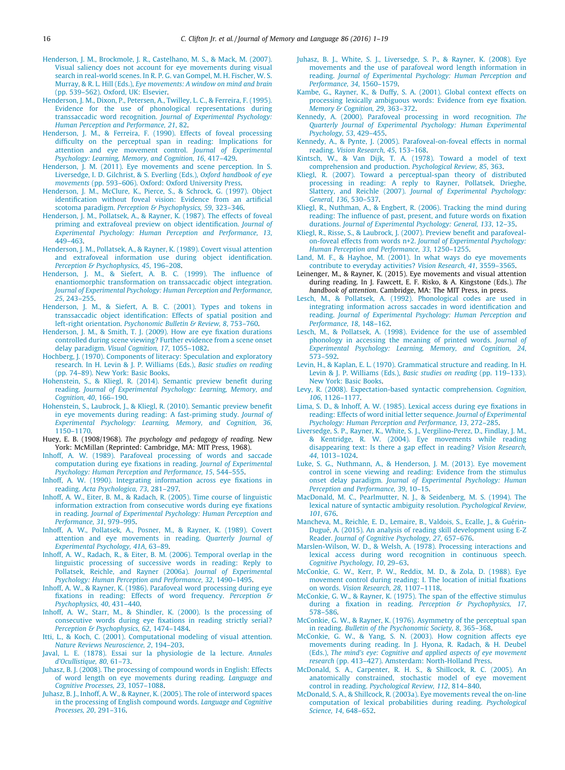- <span id="page-15-0"></span>[Henderson, J. M., Brockmole, J. R., Castelhano, M. S., & Mack, M. \(2007\).](http://refhub.elsevier.com/S0749-596X(15)00096-0/h0280) [Visual saliency does not account for eye movements during visual](http://refhub.elsevier.com/S0749-596X(15)00096-0/h0280) [search in real-world scenes. In R. P. G. van Gompel, M. H. Fischer, W. S.](http://refhub.elsevier.com/S0749-596X(15)00096-0/h0280) Murray, & R. L. Hill (Eds.), [Eye movements: A window on mind and brain](http://refhub.elsevier.com/S0749-596X(15)00096-0/h0280) [\(pp. 539–562\). Oxford, UK: Elsevier](http://refhub.elsevier.com/S0749-596X(15)00096-0/h0280).
- [Henderson, J. M., Dixon, P., Petersen, A., Twilley, L. C., & Ferreira, F. \(1995\).](http://refhub.elsevier.com/S0749-596X(15)00096-0/h0285) [Evidence for the use of phonological representations during](http://refhub.elsevier.com/S0749-596X(15)00096-0/h0285) transsaccadic word recognition. [Journal of Experimental Psychology:](http://refhub.elsevier.com/S0749-596X(15)00096-0/h0285) [Human Perception and Performance, 21](http://refhub.elsevier.com/S0749-596X(15)00096-0/h0285), 82.
- [Henderson, J. M., & Ferreira, F. \(1990\). Effects of foveal processing](http://refhub.elsevier.com/S0749-596X(15)00096-0/h0290) [difficulty on the perceptual span in reading: Implications for](http://refhub.elsevier.com/S0749-596X(15)00096-0/h0290) [attention and eye movement control.](http://refhub.elsevier.com/S0749-596X(15)00096-0/h0290) Journal of Experimental [Psychology: Learning, Memory, and Cognition, 16](http://refhub.elsevier.com/S0749-596X(15)00096-0/h0290), 417–429.
- Henderson, J. M. (2011). Eve movements and scene perception. In S. [Liversedge, I. D. Gilchrist, & S. Everling \(Eds.\),](http://refhub.elsevier.com/S0749-596X(15)00096-0/h0295) Oxford handbook of eye movements [\(pp. 593–606\). Oxford: Oxford University Press](http://refhub.elsevier.com/S0749-596X(15)00096-0/h0295).
- [Henderson, J. M., McClure, K., Pierce, S., & Schrock, G. \(1997\). Object](http://refhub.elsevier.com/S0749-596X(15)00096-0/h0300) [identification without foveal vision: Evidence from an artificial](http://refhub.elsevier.com/S0749-596X(15)00096-0/h0300) scotoma paradigm. [Perception & Psychophysics, 59](http://refhub.elsevier.com/S0749-596X(15)00096-0/h0300), 323–346.
- [Henderson, J. M., Pollatsek, A., & Rayner, K. \(1987\). The effects of foveal](http://refhub.elsevier.com/S0749-596X(15)00096-0/h0305) [priming and extrafoveal preview on object identification.](http://refhub.elsevier.com/S0749-596X(15)00096-0/h0305) Journal of [Experimental Psychology: Human Perception and Performance, 13](http://refhub.elsevier.com/S0749-596X(15)00096-0/h0305), [449–463.](http://refhub.elsevier.com/S0749-596X(15)00096-0/h0305)
- [Henderson, J. M., Pollatsek, A., & Rayner, K. \(1989\). Covert visual attention](http://refhub.elsevier.com/S0749-596X(15)00096-0/h0310) [and extrafoveal information use during object identification.](http://refhub.elsevier.com/S0749-596X(15)00096-0/h0310) [Perception & Psychophysics, 45](http://refhub.elsevier.com/S0749-596X(15)00096-0/h0310), 196–208.
- [Henderson, J. M., & Siefert, A. B. C. \(1999\). The influence of](http://refhub.elsevier.com/S0749-596X(15)00096-0/h0315) [enantiomorphic transformation on transsaccadic object integration.](http://refhub.elsevier.com/S0749-596X(15)00096-0/h0315) [Journal of Experimental Psychology: Human Perception and Performance,](http://refhub.elsevier.com/S0749-596X(15)00096-0/h0315) 25[, 243–255.](http://refhub.elsevier.com/S0749-596X(15)00096-0/h0315)
- [Henderson, J. M., & Siefert, A. B. C. \(2001\). Types and tokens in](http://refhub.elsevier.com/S0749-596X(15)00096-0/h0320) [transsaccadic object identification: Effects of spatial position and](http://refhub.elsevier.com/S0749-596X(15)00096-0/h0320) left-right orientation. [Psychonomic Bulletin & Review, 8](http://refhub.elsevier.com/S0749-596X(15)00096-0/h0320), 753-760.
- [Henderson, J. M., & Smith, T. J. \(2009\). How are eye fixation durations](http://refhub.elsevier.com/S0749-596X(15)00096-0/h0325) [controlled during scene viewing? Further evidence from a scene onset](http://refhub.elsevier.com/S0749-596X(15)00096-0/h0325) delay paradigm. [Visual Cognition, 17](http://refhub.elsevier.com/S0749-596X(15)00096-0/h0325), 1055–1082.
- [Hochberg, J. \(1970\). Components of literacy: Speculation and exploratory](http://refhub.elsevier.com/S0749-596X(15)00096-0/h0330) [research. In H. Levin & J. P. Williams \(Eds.\),](http://refhub.elsevier.com/S0749-596X(15)00096-0/h0330) Basic studies on reading [\(pp. 74–89\). New York: Basic Books.](http://refhub.elsevier.com/S0749-596X(15)00096-0/h0330)
- [Hohenstein, S., & Kliegl, R. \(2014\). Semantic preview benefit during](http://refhub.elsevier.com/S0749-596X(15)00096-0/h0335) reading. [Journal of Experimental Psychology: Learning, Memory, and](http://refhub.elsevier.com/S0749-596X(15)00096-0/h0335) [Cognition, 40](http://refhub.elsevier.com/S0749-596X(15)00096-0/h0335), 166–190.
- [Hohenstein, S., Laubrock, J., & Kliegl, R. \(2010\). Semantic preview benefit](http://refhub.elsevier.com/S0749-596X(15)00096-0/h0340) [in eye movements during reading: A fast-priming study.](http://refhub.elsevier.com/S0749-596X(15)00096-0/h0340) Journal of [Experimental Psychology: Learning, Memory, and Cognition, 36](http://refhub.elsevier.com/S0749-596X(15)00096-0/h0340), [1150–1170](http://refhub.elsevier.com/S0749-596X(15)00096-0/h0340).
- Huey, E. B. (1908/1968). The psychology and pedagogy of reading. New York: McMillan (Reprinted: Cambridge, MA: MIT Press, 1968).
- [Inhoff, A. W. \(1989\). Parafoveal processing of words and saccade](http://refhub.elsevier.com/S0749-596X(15)00096-0/h0350) [computation during eye fixations in reading.](http://refhub.elsevier.com/S0749-596X(15)00096-0/h0350) Journal of Experimental [Psychology: Human Perception and Performance, 15](http://refhub.elsevier.com/S0749-596X(15)00096-0/h0350), 544–555.
- [Inhoff, A. W. \(1990\). Integrating information across eye fixations in](http://refhub.elsevier.com/S0749-596X(15)00096-0/h0355) reading. [Acta Psychologica, 73](http://refhub.elsevier.com/S0749-596X(15)00096-0/h0355), 281–297.
- [Inhoff, A. W., Eiter, B. M., & Radach, R. \(2005\). Time course of linguistic](http://refhub.elsevier.com/S0749-596X(15)00096-0/h0360) [information extraction from consecutive words during eye fixations](http://refhub.elsevier.com/S0749-596X(15)00096-0/h0360) in reading. [Journal of Experimental Psychology: Human Perception and](http://refhub.elsevier.com/S0749-596X(15)00096-0/h0360) [Performance, 31](http://refhub.elsevier.com/S0749-596X(15)00096-0/h0360), 979–995.
- [Inhoff, A. W., Pollatsek, A., Posner, M., & Rayner, K. \(1989\). Covert](http://refhub.elsevier.com/S0749-596X(15)00096-0/h0365) [attention and eye movements in reading.](http://refhub.elsevier.com/S0749-596X(15)00096-0/h0365) Quarterly Journal of [Experimental Psychology, 41A](http://refhub.elsevier.com/S0749-596X(15)00096-0/h0365), 63–89.
- [Inhoff, A. W., Radach, R., & Eiter, B. M. \(2006\). Temporal overlap in the](http://refhub.elsevier.com/S0749-596X(15)00096-0/h0370) [linguistic processing of successive words in reading: Reply to](http://refhub.elsevier.com/S0749-596X(15)00096-0/h0370) [Pollatsek, Reichle, and Rayner \(2006a\).](http://refhub.elsevier.com/S0749-596X(15)00096-0/h0370) Journal of Experimental [Psychology: Human Perception and Performance, 32](http://refhub.elsevier.com/S0749-596X(15)00096-0/h0370), 1490–1495.
- [Inhoff, A. W., & Rayner, K. \(1986\). Parafoveal word processing during eye](http://refhub.elsevier.com/S0749-596X(15)00096-0/h0375) [fixations in reading: Effects of word frequency.](http://refhub.elsevier.com/S0749-596X(15)00096-0/h0375) Perception & [Psychophysics, 40](http://refhub.elsevier.com/S0749-596X(15)00096-0/h0375), 431–440.
- [Inhoff, A. W., Starr, M., & Shindler, K. \(2000\). Is the processing of](http://refhub.elsevier.com/S0749-596X(15)00096-0/h0380) [consecutive words during eye fixations in reading strictly serial?](http://refhub.elsevier.com/S0749-596X(15)00096-0/h0380) [Perception & Psychophysics, 62](http://refhub.elsevier.com/S0749-596X(15)00096-0/h0380), 1474–1484.
- [Itti, L., & Koch, C. \(2001\). Computational modeling of visual attention.](http://refhub.elsevier.com/S0749-596X(15)00096-0/h0385) [Nature Reviews Neuroscience, 2](http://refhub.elsevier.com/S0749-596X(15)00096-0/h0385), 194–203.
- [Javal, L. E. \(1878\). Essai sur la physiologie de la lecture.](http://refhub.elsevier.com/S0749-596X(15)00096-0/h0390) Annales [d'Ocullistique, 80](http://refhub.elsevier.com/S0749-596X(15)00096-0/h0390), 61–73.
- [Juhasz, B. J. \(2008\). The processing of compound words in English: Effects](http://refhub.elsevier.com/S0749-596X(15)00096-0/h0395) [of word length on eye movements during reading.](http://refhub.elsevier.com/S0749-596X(15)00096-0/h0395) Language and [Cognitive Processes, 23](http://refhub.elsevier.com/S0749-596X(15)00096-0/h0395), 1057–1088.
- [Juhasz, B. J., Inhoff, A. W., & Rayner, K. \(2005\). The role of interword spaces](http://refhub.elsevier.com/S0749-596X(15)00096-0/h0400) [in the processing of English compound words.](http://refhub.elsevier.com/S0749-596X(15)00096-0/h0400) Language and Cognitive [Processes, 20](http://refhub.elsevier.com/S0749-596X(15)00096-0/h0400), 291–316.
- [Juhasz, B. J., White, S. J., Liversedge, S. P., & Rayner, K. \(2008\). Eye](http://refhub.elsevier.com/S0749-596X(15)00096-0/h0405) [movements and the use of parafoveal word length information in](http://refhub.elsevier.com/S0749-596X(15)00096-0/h0405) reading. [Journal of Experimental Psychology: Human Perception and](http://refhub.elsevier.com/S0749-596X(15)00096-0/h0405) [Performance, 34](http://refhub.elsevier.com/S0749-596X(15)00096-0/h0405), 1560–1579.
- [Kambe, G., Rayner, K., & Duffy, S. A. \(2001\). Global context effects on](http://refhub.elsevier.com/S0749-596X(15)00096-0/h0410) [processing lexically ambiguous words: Evidence from eye fixation.](http://refhub.elsevier.com/S0749-596X(15)00096-0/h0410) [Memory & Cognition, 29](http://refhub.elsevier.com/S0749-596X(15)00096-0/h0410), 363–372.
- [Kennedy, A. \(2000\). Parafoveal processing in word recognition.](http://refhub.elsevier.com/S0749-596X(15)00096-0/h0415) The [Quarterly Journal of Experimental Psychology: Human Experimental](http://refhub.elsevier.com/S0749-596X(15)00096-0/h0415) [Psychology, 53](http://refhub.elsevier.com/S0749-596X(15)00096-0/h0415), 429–455.
- [Kennedy, A., & Pynte, J. \(2005\). Parafoveal-on-foveal effects in normal](http://refhub.elsevier.com/S0749-596X(15)00096-0/h0420) reading. [Vision Research, 45](http://refhub.elsevier.com/S0749-596X(15)00096-0/h0420), 153–168.
- [Kintsch, W., & Van Dijk, T. A. \(1978\). Toward a model of text](http://refhub.elsevier.com/S0749-596X(15)00096-0/h0425) [comprehension and production.](http://refhub.elsevier.com/S0749-596X(15)00096-0/h0425) Psychological Review, 85, 363.
- [Kliegl, R. \(2007\). Toward a perceptual-span theory of distributed](http://refhub.elsevier.com/S0749-596X(15)00096-0/h0430) [processing in reading: A reply to Rayner, Pollatsek, Drieghe,](http://refhub.elsevier.com/S0749-596X(15)00096-0/h0430) Slattery, and Reichle (2007). [Journal of Experimental Psychology:](http://refhub.elsevier.com/S0749-596X(15)00096-0/h0430) [General, 136](http://refhub.elsevier.com/S0749-596X(15)00096-0/h0430), 530–537.
- [Kliegl, R., Nuthman, A., & Engbert, R. \(2006\). Tracking the mind during](http://refhub.elsevier.com/S0749-596X(15)00096-0/h0435) [reading: The influence of past, present, and future words on fixation](http://refhub.elsevier.com/S0749-596X(15)00096-0/h0435) durations. [Journal of Experimental Psychology: General, 133](http://refhub.elsevier.com/S0749-596X(15)00096-0/h0435), 12–35.
- [Kliegl, R., Risse, S., & Laubrock, J. \(2007\). Preview benefit and parafoveal](http://refhub.elsevier.com/S0749-596X(15)00096-0/h0440)on-foveal effects from words n+2. [Journal of Experimental Psychology:](http://refhub.elsevier.com/S0749-596X(15)00096-0/h0440) [Human Perception and Performance, 33](http://refhub.elsevier.com/S0749-596X(15)00096-0/h0440), 1250–1255.
- [Land, M. F., & Hayhoe, M. \(2001\). In what ways do eye movements](http://refhub.elsevier.com/S0749-596X(15)00096-0/h0445) [contribute to everyday activities?](http://refhub.elsevier.com/S0749-596X(15)00096-0/h0445) Vision Research, 41, 3559–3565.
- Leinenger, M., & Rayner, K. (2015). Eye movements and visual attention during reading. In J. Fawcett, E. F. Risko, & A. Kingstone (Eds.). The handbook of attention. Cambridge, MA: The MIT Press, in press.
- [Lesch, M., & Pollatsek, A. \(1992\). Phonological codes are used in](http://refhub.elsevier.com/S0749-596X(15)00096-0/h0455) [integrating information across saccades in word identification and](http://refhub.elsevier.com/S0749-596X(15)00096-0/h0455) reading. [Journal of Experimental Psychology: Human Perception and](http://refhub.elsevier.com/S0749-596X(15)00096-0/h0455) [Performance, 18](http://refhub.elsevier.com/S0749-596X(15)00096-0/h0455), 148–162.
- [Lesch, M., & Pollatsek, A. \(1998\). Evidence for the use of assembled](http://refhub.elsevier.com/S0749-596X(15)00096-0/h0460) [phonology in accessing the meaning of printed words.](http://refhub.elsevier.com/S0749-596X(15)00096-0/h0460) Journal of [Experimental Psychology: Learning, Memory, and Cognition, 24](http://refhub.elsevier.com/S0749-596X(15)00096-0/h0460), [573–592.](http://refhub.elsevier.com/S0749-596X(15)00096-0/h0460)
- [Levin, H., & Kaplan, E. L. \(1970\). Grammatical structure and reading. In H.](http://refhub.elsevier.com/S0749-596X(15)00096-0/h0465) [Levin & J. P. Williams \(Eds.\),](http://refhub.elsevier.com/S0749-596X(15)00096-0/h0465) Basic studies on reading (pp. 119–133). [New York: Basic Books.](http://refhub.elsevier.com/S0749-596X(15)00096-0/h0465)
- [Levy, R. \(2008\). Expectation-based syntactic comprehension.](http://refhub.elsevier.com/S0749-596X(15)00096-0/h0470) Cognition, 106[, 1126–1177](http://refhub.elsevier.com/S0749-596X(15)00096-0/h0470).
- [Lima, S. D., & Inhoff, A. W. \(1985\). Lexical access during eye fixations in](http://refhub.elsevier.com/S0749-596X(15)00096-0/h0475) [reading: Effects of word initial letter sequence.](http://refhub.elsevier.com/S0749-596X(15)00096-0/h0475) Journal of Experimental [Psychology: Human Perception and Performance, 13](http://refhub.elsevier.com/S0749-596X(15)00096-0/h0475), 272–285.
- [Liversedge, S. P., Rayner, K., White, S. J., Vergilino-Perez, D., Findlay, J. M.,](http://refhub.elsevier.com/S0749-596X(15)00096-0/h0480) [& Kentridge, R. W. \(2004\). Eye movements while reading](http://refhub.elsevier.com/S0749-596X(15)00096-0/h0480) [disappearing text: Is there a gap effect in reading?](http://refhub.elsevier.com/S0749-596X(15)00096-0/h0480) Vision Research, 44[, 1013–1024](http://refhub.elsevier.com/S0749-596X(15)00096-0/h0480).
- [Luke, S. G., Nuthmann, A., & Henderson, J. M. \(2013\). Eye movement](http://refhub.elsevier.com/S0749-596X(15)00096-0/h0485) [control in scene viewing and reading: Evidence from the stimulus](http://refhub.elsevier.com/S0749-596X(15)00096-0/h0485) onset delay paradigm. [Journal of Experimental Psychology: Human](http://refhub.elsevier.com/S0749-596X(15)00096-0/h0485) [Perception and Performance, 39](http://refhub.elsevier.com/S0749-596X(15)00096-0/h0485), 10–15.
- [MacDonald, M. C., Pearlmutter, N. J., & Seidenberg, M. S. \(1994\). The](http://refhub.elsevier.com/S0749-596X(15)00096-0/h0490) [lexical nature of syntactic ambiguity resolution.](http://refhub.elsevier.com/S0749-596X(15)00096-0/h0490) Psychological Review, 101[, 676](http://refhub.elsevier.com/S0749-596X(15)00096-0/h0490).
- [Mancheva, M., Reichle, E. D., Lemaire, B., Valdois, S., Ecalle, J., & Guérin-](http://refhub.elsevier.com/S0749-596X(15)00096-0/h9015)[Dugué, A. \(2015\). An analysis of reading skill development using E-Z](http://refhub.elsevier.com/S0749-596X(15)00096-0/h9015) Reader. [Journal of Cognitive Psychology, 27](http://refhub.elsevier.com/S0749-596X(15)00096-0/h9015), 657–676.
- [Marslen-Wilson, W. D., & Welsh, A. \(1978\). Processing interactions and](http://refhub.elsevier.com/S0749-596X(15)00096-0/h0500) [lexical access during word recognition in continuous speech.](http://refhub.elsevier.com/S0749-596X(15)00096-0/h0500) [Cognitive Psychology, 10](http://refhub.elsevier.com/S0749-596X(15)00096-0/h0500), 29–63.
- [McConkie, G. W., Kerr, P. W., Reddix, M. D., & Zola, D. \(1988\). Eye](http://refhub.elsevier.com/S0749-596X(15)00096-0/h0505) [movement control during reading: I. The location of initial fixations](http://refhub.elsevier.com/S0749-596X(15)00096-0/h0505) on words. [Vision Research, 28](http://refhub.elsevier.com/S0749-596X(15)00096-0/h0505), 1107–1118.
- [McConkie, G. W., & Rayner, K. \(1975\). The span of the effective stimulus](http://refhub.elsevier.com/S0749-596X(15)00096-0/h0510) during a fixation in reading. [Perception & Psychophysics, 17](http://refhub.elsevier.com/S0749-596X(15)00096-0/h0510), [578–586.](http://refhub.elsevier.com/S0749-596X(15)00096-0/h0510)
- [McConkie, G. W., & Rayner, K. \(1976\). Asymmetry of the perceptual span](http://refhub.elsevier.com/S0749-596X(15)00096-0/h0515) in reading. [Bulletin of the Psychonomic Society, 8](http://refhub.elsevier.com/S0749-596X(15)00096-0/h0515), 365–368.
- [McConkie, G. W., & Yang, S. N. \(2003\). How cognition affects eye](http://refhub.elsevier.com/S0749-596X(15)00096-0/h0520) [movements during reading. In J. Hyona, R. Radach, & H. Deubel](http://refhub.elsevier.com/S0749-596X(15)00096-0/h0520) (Eds.), [The mind's eye: Cognitive and applied aspects of eye movement](http://refhub.elsevier.com/S0749-596X(15)00096-0/h0520) research [\(pp. 413–427\). Amsterdam: North-Holland Press.](http://refhub.elsevier.com/S0749-596X(15)00096-0/h0520)
- [McDonald, S. A., Carpenter, R. H. S., & Shillcock, R. C. \(2005\). An](http://refhub.elsevier.com/S0749-596X(15)00096-0/h0525) [anatomically constrained, stochastic model of eye movement](http://refhub.elsevier.com/S0749-596X(15)00096-0/h0525) control in reading. [Psychological Review, 112](http://refhub.elsevier.com/S0749-596X(15)00096-0/h0525), 814–840.
- [McDonald, S. A., & Shillcock, R. \(2003a\). Eye movements reveal the on-line](http://refhub.elsevier.com/S0749-596X(15)00096-0/h0530) [computation of lexical probabilities during reading.](http://refhub.elsevier.com/S0749-596X(15)00096-0/h0530) Psychological [Science, 14](http://refhub.elsevier.com/S0749-596X(15)00096-0/h0530), 648–652.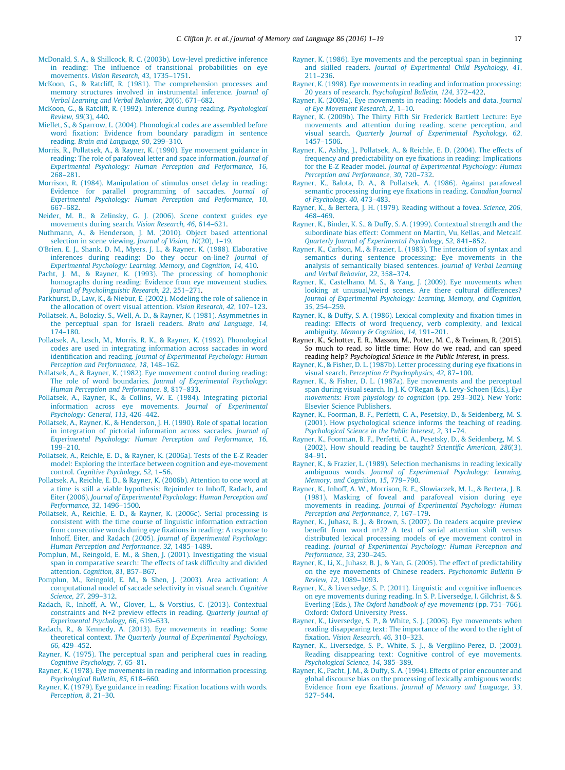- <span id="page-16-0"></span>[McDonald, S. A., & Shillcock, R. C. \(2003b\). Low-level predictive inference](http://refhub.elsevier.com/S0749-596X(15)00096-0/h0535) [in reading: The influence of transitional probabilities on eye](http://refhub.elsevier.com/S0749-596X(15)00096-0/h0535) movements. [Vision Research, 43](http://refhub.elsevier.com/S0749-596X(15)00096-0/h0535), 1735–1751.
- [McKoon, G., & Ratcliff, R. \(1981\). The comprehension processes and](http://refhub.elsevier.com/S0749-596X(15)00096-0/h0540) [memory structures involved in instrumental inference.](http://refhub.elsevier.com/S0749-596X(15)00096-0/h0540) Journal of [Verbal Learning and Verbal Behavior, 20](http://refhub.elsevier.com/S0749-596X(15)00096-0/h0540)(6), 671–682.
- [McKoon, G., & Ratcliff, R. \(1992\). Inference during reading.](http://refhub.elsevier.com/S0749-596X(15)00096-0/h0545) Psychological [Review, 99](http://refhub.elsevier.com/S0749-596X(15)00096-0/h0545)(3), 440.
- [Miellet, S., & Sparrow, L. \(2004\). Phonological codes are assembled before](http://refhub.elsevier.com/S0749-596X(15)00096-0/h0550) [word fixation: Evidence from boundary paradigm in sentence](http://refhub.elsevier.com/S0749-596X(15)00096-0/h0550) reading. [Brain and Language, 90](http://refhub.elsevier.com/S0749-596X(15)00096-0/h0550), 299–310.
- [Morris, R., Pollatsek, A., & Rayner, K. \(1990\). Eye movement guidance in](http://refhub.elsevier.com/S0749-596X(15)00096-0/h0555) [reading: The role of parafoveal letter and space information.](http://refhub.elsevier.com/S0749-596X(15)00096-0/h0555) Journal of [Experimental Psychology: Human Perception and Performance, 16](http://refhub.elsevier.com/S0749-596X(15)00096-0/h0555), [268–281.](http://refhub.elsevier.com/S0749-596X(15)00096-0/h0555)
- [Morrison, R. \(1984\). Manipulation of stimulus onset delay in reading:](http://refhub.elsevier.com/S0749-596X(15)00096-0/h0560) [Evidence for parallel programming of saccades.](http://refhub.elsevier.com/S0749-596X(15)00096-0/h0560) Journal of [Experimental Psychology: Human Perception and Performance, 10](http://refhub.elsevier.com/S0749-596X(15)00096-0/h0560), [667–682.](http://refhub.elsevier.com/S0749-596X(15)00096-0/h0560)
- [Neider, M. B., & Zelinsky, G. J. \(2006\). Scene context guides eye](http://refhub.elsevier.com/S0749-596X(15)00096-0/h0565) [movements during search.](http://refhub.elsevier.com/S0749-596X(15)00096-0/h0565) Vision Research, 46, 614–621.
- [Nuthmann, A., & Henderson, J. M. \(2010\). Object based attentional](http://refhub.elsevier.com/S0749-596X(15)00096-0/h0570) [selection in scene viewing.](http://refhub.elsevier.com/S0749-596X(15)00096-0/h0570) Journal of Vision, 10(20), 1-19.
- [O'Brien, E. J., Shank, D. M., Myers, J. L., & Rayner, K. \(1988\). Elaborative](http://refhub.elsevier.com/S0749-596X(15)00096-0/h0575) [inferences during reading: Do they occur on-line?](http://refhub.elsevier.com/S0749-596X(15)00096-0/h0575) Journal of [Experimental Psychology: Learning, Memory, and Cognition, 14](http://refhub.elsevier.com/S0749-596X(15)00096-0/h0575), 410.
- [Pacht, J. M., & Rayner, K. \(1993\). The processing of homophonic](http://refhub.elsevier.com/S0749-596X(15)00096-0/h0580) [homographs during reading: Evidence from eye movement studies.](http://refhub.elsevier.com/S0749-596X(15)00096-0/h0580) [Journal of Psycholinguistic Research, 22](http://refhub.elsevier.com/S0749-596X(15)00096-0/h0580), 251–271.
- [Parkhurst, D., Law, K., & Niebur, E. \(2002\). Modeling the role of salience in](http://refhub.elsevier.com/S0749-596X(15)00096-0/h0585) [the allocation of overt visual attention.](http://refhub.elsevier.com/S0749-596X(15)00096-0/h0585) Vision Research, 42, 107–123.
- [Pollatsek, A., Bolozky, S., Well, A. D., & Rayner, K. \(1981\). Asymmetries in](http://refhub.elsevier.com/S0749-596X(15)00096-0/h0590) [the perceptual span for Israeli readers.](http://refhub.elsevier.com/S0749-596X(15)00096-0/h0590) Brain and Language, 14, [174–180](http://refhub.elsevier.com/S0749-596X(15)00096-0/h0590).
- [Pollatsek, A., Lesch, M., Morris, R. K., & Rayner, K. \(1992\). Phonological](http://refhub.elsevier.com/S0749-596X(15)00096-0/h0595) [codes are used in integrating information across saccades in word](http://refhub.elsevier.com/S0749-596X(15)00096-0/h0595) identification and reading. [Journal of Experimental Psychology: Human](http://refhub.elsevier.com/S0749-596X(15)00096-0/h0595) [Perception and Performance, 18](http://refhub.elsevier.com/S0749-596X(15)00096-0/h0595), 148–162.
- [Pollatsek, A., & Rayner, K. \(1982\). Eye movement control during reading:](http://refhub.elsevier.com/S0749-596X(15)00096-0/h0600) The role of word boundaries. [Journal of Experimental Psychology:](http://refhub.elsevier.com/S0749-596X(15)00096-0/h0600) [Human Perception and Performance, 8](http://refhub.elsevier.com/S0749-596X(15)00096-0/h0600), 817–833.
- [Pollatsek, A., Rayner, K., & Collins, W. E. \(1984\). Integrating pictorial](http://refhub.elsevier.com/S0749-596X(15)00096-0/h0605) [information across eye movements.](http://refhub.elsevier.com/S0749-596X(15)00096-0/h0605) Journal of Experimental [Psychology: General, 113](http://refhub.elsevier.com/S0749-596X(15)00096-0/h0605), 426–442.
- [Pollatsek, A., Rayner, K., & Henderson, J. H. \(1990\). Role of spatial location](http://refhub.elsevier.com/S0749-596X(15)00096-0/h0610) [in integration of pictorial information across saccades.](http://refhub.elsevier.com/S0749-596X(15)00096-0/h0610) Journal of [Experimental Psychology: Human Perception and Performance, 16](http://refhub.elsevier.com/S0749-596X(15)00096-0/h0610), [199–210](http://refhub.elsevier.com/S0749-596X(15)00096-0/h0610).
- [Pollatsek, A., Reichle, E. D., & Rayner, K. \(2006a\). Tests of the E-Z Reader](http://refhub.elsevier.com/S0749-596X(15)00096-0/h0615) [model: Exploring the interface between cognition and eye-movement](http://refhub.elsevier.com/S0749-596X(15)00096-0/h0615) control. [Cognitive Psychology, 52](http://refhub.elsevier.com/S0749-596X(15)00096-0/h0615), 1–56.
- [Pollatsek, A., Reichle, E. D., & Rayner, K. \(2006b\). Attention to one word at](http://refhub.elsevier.com/S0749-596X(15)00096-0/h0620) [a time is still a viable hypothesis: Rejoinder to Inhoff, Radach, and](http://refhub.elsevier.com/S0749-596X(15)00096-0/h0620) Eiter (2006). [Journal of Experimental Psychology: Human Perception and](http://refhub.elsevier.com/S0749-596X(15)00096-0/h0620) [Performance, 32](http://refhub.elsevier.com/S0749-596X(15)00096-0/h0620), 1496–1500.
- [Pollatsek, A., Reichle, E. D., & Rayner, K. \(2006c\). Serial processing is](http://refhub.elsevier.com/S0749-596X(15)00096-0/h0625) [consistent with the time course of linguistic information extraction](http://refhub.elsevier.com/S0749-596X(15)00096-0/h0625) [from consecutive words during eye fixations in reading: A response to](http://refhub.elsevier.com/S0749-596X(15)00096-0/h0625) Inhoff, Eiter, and Radach (2005). [Journal of Experimental Psychology:](http://refhub.elsevier.com/S0749-596X(15)00096-0/h0625) [Human Perception and Performance, 32](http://refhub.elsevier.com/S0749-596X(15)00096-0/h0625), 1485–1489.
- [Pomplun, M., Reingold, E. M., & Shen, J. \(2001\). Investigating the visual](http://refhub.elsevier.com/S0749-596X(15)00096-0/h0630) [span in comparative search: The effects of task difficulty and divided](http://refhub.elsevier.com/S0749-596X(15)00096-0/h0630) attention. [Cognition, 81](http://refhub.elsevier.com/S0749-596X(15)00096-0/h0630), B57–B67.
- [Pomplun, M., Reingold, E. M., & Shen, J. \(2003\). Area activation: A](http://refhub.elsevier.com/S0749-596X(15)00096-0/h0635) [computational model of saccade selectivity in visual search.](http://refhub.elsevier.com/S0749-596X(15)00096-0/h0635) Cognitive [Science, 27](http://refhub.elsevier.com/S0749-596X(15)00096-0/h0635), 299–312.
- [Radach, R., Inhoff, A. W., Glover, L., & Vorstius, C. \(2013\). Contextual](http://refhub.elsevier.com/S0749-596X(15)00096-0/h0640) [constraints and N+2 preview effects in reading.](http://refhub.elsevier.com/S0749-596X(15)00096-0/h0640) Quarterly Journal of [Experimental Psychology, 66](http://refhub.elsevier.com/S0749-596X(15)00096-0/h0640), 619–633.
- [Radach, R., & Kennedy, A. \(2013\). Eye movements in reading: Some](http://refhub.elsevier.com/S0749-596X(15)00096-0/h0645) theoretical context. [The Quarterly Journal of Experimental Psychology,](http://refhub.elsevier.com/S0749-596X(15)00096-0/h0645) 66[, 429–452](http://refhub.elsevier.com/S0749-596X(15)00096-0/h0645).
- [Rayner, K. \(1975\). The perceptual span and peripheral cues in reading.](http://refhub.elsevier.com/S0749-596X(15)00096-0/h0650) [Cognitive Psychology, 7](http://refhub.elsevier.com/S0749-596X(15)00096-0/h0650), 65–81.
- [Rayner, K. \(1978\). Eye movements in reading and information processing.](http://refhub.elsevier.com/S0749-596X(15)00096-0/h0655) [Psychological Bulletin, 85](http://refhub.elsevier.com/S0749-596X(15)00096-0/h0655), 618–660.
- [Rayner, K. \(1979\). Eye guidance in reading: Fixation locations with words.](http://refhub.elsevier.com/S0749-596X(15)00096-0/h0660) [Perception, 8](http://refhub.elsevier.com/S0749-596X(15)00096-0/h0660), 21–30.
- [Rayner, K. \(1986\). Eye movements and the perceptual span in beginning](http://refhub.elsevier.com/S0749-596X(15)00096-0/h0665) and skilled readers. [Journal of Experimental Child Psychology, 41](http://refhub.elsevier.com/S0749-596X(15)00096-0/h0665), [211–236.](http://refhub.elsevier.com/S0749-596X(15)00096-0/h0665)
- [Rayner, K. \(1998\). Eye movements in reading and information processing:](http://refhub.elsevier.com/S0749-596X(15)00096-0/h0670) 20 years of research. [Psychological Bulletin, 124](http://refhub.elsevier.com/S0749-596X(15)00096-0/h0670), 372–422.
- [Rayner, K. \(2009a\). Eye movements in reading: Models and data.](http://refhub.elsevier.com/S0749-596X(15)00096-0/h0675) Journal [of Eye Movement Research, 2](http://refhub.elsevier.com/S0749-596X(15)00096-0/h0675), 1–10.
- [Rayner, K. \(2009b\). The Thirty Fifth Sir Frederick Bartlett Lecture: Eye](http://refhub.elsevier.com/S0749-596X(15)00096-0/h0680) [movements and attention during reading, scene perception, and](http://refhub.elsevier.com/S0749-596X(15)00096-0/h0680) visual search. [Quarterly Journal of Experimental Psychology, 62](http://refhub.elsevier.com/S0749-596X(15)00096-0/h0680), [1457–1506](http://refhub.elsevier.com/S0749-596X(15)00096-0/h0680).
- [Rayner, K., Ashby, J., Pollatsek, A., & Reichle, E. D. \(2004\). The effects of](http://refhub.elsevier.com/S0749-596X(15)00096-0/h0685) [frequency and predictability on eye fixations in reading: Implications](http://refhub.elsevier.com/S0749-596X(15)00096-0/h0685) for the E-Z Reader model. [Journal of Experimental Psychology: Human](http://refhub.elsevier.com/S0749-596X(15)00096-0/h0685) [Perception and Performance, 30](http://refhub.elsevier.com/S0749-596X(15)00096-0/h0685), 720–732.
- [Rayner, K., Balota, D. A., & Pollatsek, A. \(1986\). Against parafoveal](http://refhub.elsevier.com/S0749-596X(15)00096-0/h0690) [semantic processing during eye fixations in reading.](http://refhub.elsevier.com/S0749-596X(15)00096-0/h0690) Canadian Journal [of Psychology, 40](http://refhub.elsevier.com/S0749-596X(15)00096-0/h0690), 473–483.
- [Rayner, K., & Bertera, J. H. \(1979\). Reading without a fovea.](http://refhub.elsevier.com/S0749-596X(15)00096-0/h0695) Science, 206, [468–469.](http://refhub.elsevier.com/S0749-596X(15)00096-0/h0695)
- [Rayner, K., Binder, K. S., & Duffy, S. A. \(1999\). Contextual strength and the](http://refhub.elsevier.com/S0749-596X(15)00096-0/h0700) [subordinate bias effect: Comment on Martin, Vu, Kellas, and Metcalf.](http://refhub.elsevier.com/S0749-596X(15)00096-0/h0700) [Quarterly Journal of Experimental Psychology, 52](http://refhub.elsevier.com/S0749-596X(15)00096-0/h0700), 841–852.
- [Rayner, K., Carlson, M., & Frazier, L. \(1983\). The interaction of syntax and](http://refhub.elsevier.com/S0749-596X(15)00096-0/h0705) [semantics during sentence processing: Eye movements in the](http://refhub.elsevier.com/S0749-596X(15)00096-0/h0705) [analysis of semantically biased sentences.](http://refhub.elsevier.com/S0749-596X(15)00096-0/h0705) Journal of Verbal Learning [and Verbal Behavior, 22](http://refhub.elsevier.com/S0749-596X(15)00096-0/h0705), 358–374.
- [Rayner, K., Castelhano, M. S., & Yang, J. \(2009\). Eye movements when](http://refhub.elsevier.com/S0749-596X(15)00096-0/h0710) [looking at unusual/weird scenes. Are there cultural differences?](http://refhub.elsevier.com/S0749-596X(15)00096-0/h0710) [Journal of Experimental Psychology: Learning, Memory, and Cognition,](http://refhub.elsevier.com/S0749-596X(15)00096-0/h0710) 35[, 254–259](http://refhub.elsevier.com/S0749-596X(15)00096-0/h0710).
- [Rayner, K., & Duffy, S. A. \(1986\). Lexical complexity and fixation times in](http://refhub.elsevier.com/S0749-596X(15)00096-0/h0715) [reading: Effects of word frequency, verb complexity, and lexical](http://refhub.elsevier.com/S0749-596X(15)00096-0/h0715) ambiguity. [Memory & Cognition, 14](http://refhub.elsevier.com/S0749-596X(15)00096-0/h0715), 191–201.
- Rayner, K., Schotter, E. R., Masson, M., Potter, M. C., & Treiman, R. (2015). So much to read, so little time: How do we read, and can speed reading help? Psychological Science in the Public Interest, in press.
- [Rayner, K., & Fisher, D. L. \(1987b\). Letter processing during eye fixations in](http://refhub.elsevier.com/S0749-596X(15)00096-0/h0725) visual search. [Perception & Psychophysics, 42](http://refhub.elsevier.com/S0749-596X(15)00096-0/h0725), 87–100.
- [Rayner, K., & Fisher, D. L. \(1987a\). Eye movements and the perceptual](http://refhub.elsevier.com/S0749-596X(15)00096-0/h0730) [span during visual search. In J. K. O'Regan & A. Levy-Schoen \(Eds.\),](http://refhub.elsevier.com/S0749-596X(15)00096-0/h0730) Eye [movements: From physiology to cognition](http://refhub.elsevier.com/S0749-596X(15)00096-0/h0730) (pp. 293–302). New York: [Elsevier Science Publishers](http://refhub.elsevier.com/S0749-596X(15)00096-0/h0730).
- [Rayner, K., Foorman, B. F., Perfetti, C. A., Pesetsky, D., & Seidenberg, M. S.](http://refhub.elsevier.com/S0749-596X(15)00096-0/h0735) [\(2001\). How psychological science informs the teaching of reading.](http://refhub.elsevier.com/S0749-596X(15)00096-0/h0735) [Psychological Science in the Public Interest, 2](http://refhub.elsevier.com/S0749-596X(15)00096-0/h0735), 31–74.
- [Rayner, K., Foorman, B. F., Perfetti, C. A., Pesetsky, D., & Seidenberg, M. S.](http://refhub.elsevier.com/S0749-596X(15)00096-0/h0740) [\(2002\). How should reading be taught?](http://refhub.elsevier.com/S0749-596X(15)00096-0/h0740) Scientific American, 286(3), [84–91](http://refhub.elsevier.com/S0749-596X(15)00096-0/h0740).
- [Rayner, K., & Frazier, L. \(1989\). Selection mechanisms in reading lexically](http://refhub.elsevier.com/S0749-596X(15)00096-0/h0745) ambiguous words. [Journal of Experimental Psychology: Learning,](http://refhub.elsevier.com/S0749-596X(15)00096-0/h0745) [Memory, and Cognition, 15](http://refhub.elsevier.com/S0749-596X(15)00096-0/h0745), 779–790.
- [Rayner, K., Inhoff, A. W., Morrison, R. E., Slowiaczek, M. L., & Bertera, J. B.](http://refhub.elsevier.com/S0749-596X(15)00096-0/h0750) [\(1981\). Masking of foveal and parafoveal vision during eye](http://refhub.elsevier.com/S0749-596X(15)00096-0/h0750) movements in reading. [Journal of Experimental Psychology: Human](http://refhub.elsevier.com/S0749-596X(15)00096-0/h0750) [Perception and Performance, 7](http://refhub.elsevier.com/S0749-596X(15)00096-0/h0750), 167–179.
- [Rayner, K., Juhasz, B. J., & Brown, S. \(2007\). Do readers acquire preview](http://refhub.elsevier.com/S0749-596X(15)00096-0/h0755) [benefit from word n+2? A test of serial attention shift versus](http://refhub.elsevier.com/S0749-596X(15)00096-0/h0755) [distributed lexical processing models of eye movement control in](http://refhub.elsevier.com/S0749-596X(15)00096-0/h0755) reading. [Journal of Experimental Psychology: Human Perception and](http://refhub.elsevier.com/S0749-596X(15)00096-0/h0755) [Performance, 33](http://refhub.elsevier.com/S0749-596X(15)00096-0/h0755), 230–245.
- [Rayner, K., Li, X., Juhasz, B. J., & Yan, G. \(2005\). The effect of predictability](http://refhub.elsevier.com/S0749-596X(15)00096-0/h0760) [on the eye movements of Chinese readers.](http://refhub.elsevier.com/S0749-596X(15)00096-0/h0760) Psychonomic Bulletin & Review, 12[, 1089–1093](http://refhub.elsevier.com/S0749-596X(15)00096-0/h0760).
- [Rayner, K., & Liversedge, S. P. \(2011\). Linguistic and cognitive influences](http://refhub.elsevier.com/S0749-596X(15)00096-0/h0765) [on eye movements during reading. In S. P. Liversedge, I. Gilchrist, & S.](http://refhub.elsevier.com/S0749-596X(15)00096-0/h0765) Everling (Eds.), [The Oxford handbook of eye movements](http://refhub.elsevier.com/S0749-596X(15)00096-0/h0765) (pp. 751–766). [Oxford: Oxford University Press.](http://refhub.elsevier.com/S0749-596X(15)00096-0/h0765)
- [Rayner, K., Liversedge, S. P., & White, S. J. \(2006\). Eye movements when](http://refhub.elsevier.com/S0749-596X(15)00096-0/h0770) [reading disappearing text: The importance of the word to the right of](http://refhub.elsevier.com/S0749-596X(15)00096-0/h0770) fixation. [Vision Research, 46](http://refhub.elsevier.com/S0749-596X(15)00096-0/h0770), 310–323.
- [Rayner, K., Liversedge, S. P., White, S. J., & Vergilino-Perez, D. \(2003\).](http://refhub.elsevier.com/S0749-596X(15)00096-0/h0775) [Reading disappearing text: Cognitive control of eye movements.](http://refhub.elsevier.com/S0749-596X(15)00096-0/h0775) [Psychological Science, 14](http://refhub.elsevier.com/S0749-596X(15)00096-0/h0775), 385–389.
- [Rayner, K., Pacht, J. M., & Duffy, S. A. \(1994\). Effects of prior encounter and](http://refhub.elsevier.com/S0749-596X(15)00096-0/h0780) [global discourse bias on the processing of lexically ambiguous words:](http://refhub.elsevier.com/S0749-596X(15)00096-0/h0780) Evidence from eye fixations. [Journal of Memory and Language, 33](http://refhub.elsevier.com/S0749-596X(15)00096-0/h0780), [527–544.](http://refhub.elsevier.com/S0749-596X(15)00096-0/h0780)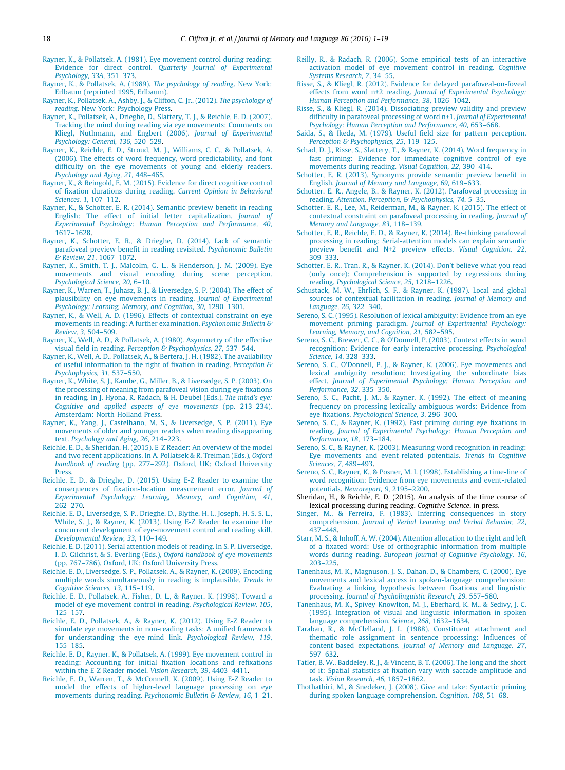- <span id="page-17-0"></span>[Rayner, K., & Pollatsek, A. \(1981\). Eye movement control during reading:](http://refhub.elsevier.com/S0749-596X(15)00096-0/h0785) Evidence for direct control. [Quarterly Journal of Experimental](http://refhub.elsevier.com/S0749-596X(15)00096-0/h0785) [Psychology, 33A](http://refhub.elsevier.com/S0749-596X(15)00096-0/h0785), 351–373.
- [Rayner, K., & Pollatsek, A. \(1989\).](http://refhub.elsevier.com/S0749-596X(15)00096-0/h0790) The psychology of reading. New York: [Erlbaum \(reprinted 1995, Erlbaum\)](http://refhub.elsevier.com/S0749-596X(15)00096-0/h0790).
- [Rayner, K., Pollatsek, A., Ashby, J., & Clifton, C. Jr., \(2012\).](http://refhub.elsevier.com/S0749-596X(15)00096-0/h0795) The psychology of reading[. New York: Psychology Press](http://refhub.elsevier.com/S0749-596X(15)00096-0/h0795).
- [Rayner, K., Pollatsek, A., Drieghe, D., Slattery, T. J., & Reichle, E. D. \(2007\).](http://refhub.elsevier.com/S0749-596X(15)00096-0/h0800) [Tracking the mind during reading via eye movements: Comments on](http://refhub.elsevier.com/S0749-596X(15)00096-0/h0800) [Kliegl, Nuthmann, and Engbert \(2006\).](http://refhub.elsevier.com/S0749-596X(15)00096-0/h0800) Journal of Experimental [Psychology: General, 136](http://refhub.elsevier.com/S0749-596X(15)00096-0/h0800), 520–529.
- [Rayner, K., Reichle, E. D., Stroud, M. J., Williams, C. C., & Pollatsek, A.](http://refhub.elsevier.com/S0749-596X(15)00096-0/h0805) [\(2006\). The effects of word frequency, word predictability, and font](http://refhub.elsevier.com/S0749-596X(15)00096-0/h0805) [difficulty on the eye movements of young and elderly readers.](http://refhub.elsevier.com/S0749-596X(15)00096-0/h0805) [Psychology and Aging, 21](http://refhub.elsevier.com/S0749-596X(15)00096-0/h0805), 448–465.
- [Rayner, K., & Reingold, E. M. \(2015\). Evidence for direct cognitive control](http://refhub.elsevier.com/S0749-596X(15)00096-0/h0810) [of fixation durations during reading.](http://refhub.elsevier.com/S0749-596X(15)00096-0/h0810) Current Opinion in Behavioral [Sciences, 1](http://refhub.elsevier.com/S0749-596X(15)00096-0/h0810), 107–112.
- [Rayner, K., & Schotter, E. R. \(2014\). Semantic preview benefit in reading](http://refhub.elsevier.com/S0749-596X(15)00096-0/h0815) [English: The effect of initial letter capitalization.](http://refhub.elsevier.com/S0749-596X(15)00096-0/h0815) Journal of [Experimental Psychology: Human Perception and Performance, 40](http://refhub.elsevier.com/S0749-596X(15)00096-0/h0815), [1617–1628](http://refhub.elsevier.com/S0749-596X(15)00096-0/h0815).
- [Rayner, K., Schotter, E. R., & Drieghe, D. \(2014\). Lack of semantic](http://refhub.elsevier.com/S0749-596X(15)00096-0/h0820) [parafoveal preview benefit in reading revisited.](http://refhub.elsevier.com/S0749-596X(15)00096-0/h0820) Psychonomic Bulletin [& Review, 21](http://refhub.elsevier.com/S0749-596X(15)00096-0/h0820), 1067–1072.
- [Rayner, K., Smith, T. J., Malcolm, G. L., & Henderson, J. M. \(2009\). Eye](http://refhub.elsevier.com/S0749-596X(15)00096-0/h0825) [movements and visual encoding during scene perception.](http://refhub.elsevier.com/S0749-596X(15)00096-0/h0825) [Psychological Science, 20](http://refhub.elsevier.com/S0749-596X(15)00096-0/h0825), 6–10.
- [Rayner, K., Warren, T., Juhasz, B. J., & Liversedge, S. P. \(2004\). The effect of](http://refhub.elsevier.com/S0749-596X(15)00096-0/h0830) [plausibility on eye movements in reading.](http://refhub.elsevier.com/S0749-596X(15)00096-0/h0830) Journal of Experimental [Psychology: Learning, Memory, and Cognition, 30](http://refhub.elsevier.com/S0749-596X(15)00096-0/h0830), 1290–1301.
- [Rayner, K., & Well, A. D. \(1996\). Effects of contextual constraint on eye](http://refhub.elsevier.com/S0749-596X(15)00096-0/h0835) [movements in reading: A further examination.](http://refhub.elsevier.com/S0749-596X(15)00096-0/h0835) Psychonomic Bulletin & Review, 3[, 504–509](http://refhub.elsevier.com/S0749-596X(15)00096-0/h0835).
- [Rayner, K., Well, A. D., & Pollatsek, A. \(1980\). Asymmetry of the effective](http://refhub.elsevier.com/S0749-596X(15)00096-0/h0840) visual field in reading. [Perception & Psychophysics, 27](http://refhub.elsevier.com/S0749-596X(15)00096-0/h0840), 537-544.
- [Rayner, K., Well, A. D., Pollatsek, A., & Bertera, J. H. \(1982\). The availability](http://refhub.elsevier.com/S0749-596X(15)00096-0/h0845) [of useful information to the right of fixation in reading.](http://refhub.elsevier.com/S0749-596X(15)00096-0/h0845) Perception & [Psychophysics, 31](http://refhub.elsevier.com/S0749-596X(15)00096-0/h0845), 537–550.
- [Rayner, K., White, S. J., Kambe, G., Miller, B., & Liversedge, S. P. \(2003\). On](http://refhub.elsevier.com/S0749-596X(15)00096-0/h0850) [the processing of meaning from parafoveal vision during eye fixations](http://refhub.elsevier.com/S0749-596X(15)00096-0/h0850) [in reading. In J. Hyona, R. Radach, & H. Deubel \(Eds.\),](http://refhub.elsevier.com/S0749-596X(15)00096-0/h0850) The mind's eye: [Cognitive and applied aspects of eye movements](http://refhub.elsevier.com/S0749-596X(15)00096-0/h0850) (pp. 213–234). [Amsterdam: North-Holland Press](http://refhub.elsevier.com/S0749-596X(15)00096-0/h0850).
- [Rayner, K., Yang, J., Castelhano, M. S., & Liversedge, S. P. \(2011\). Eye](http://refhub.elsevier.com/S0749-596X(15)00096-0/h0855) [movements of older and younger readers when reading disappearing](http://refhub.elsevier.com/S0749-596X(15)00096-0/h0855) text. [Psychology and Aging, 26](http://refhub.elsevier.com/S0749-596X(15)00096-0/h0855), 214–223.
- [Reichle, E. D., & Sheridan, H. \(2015\). E-Z Reader: An overview of the model](http://refhub.elsevier.com/S0749-596X(15)00096-0/h9035) [and two recent applications. In A. Pollatsek & R. Treiman \(Eds.\),](http://refhub.elsevier.com/S0749-596X(15)00096-0/h9035) Oxford handbook of reading [\(pp. 277–292\). Oxford, UK: Oxford University](http://refhub.elsevier.com/S0749-596X(15)00096-0/h9035) [Press.](http://refhub.elsevier.com/S0749-596X(15)00096-0/h9035)
- [Reichle, E. D., & Drieghe, D. \(2015\). Using E-Z Reader to examine the](http://refhub.elsevier.com/S0749-596X(15)00096-0/h0865) [consequences of fixation-location measurement error.](http://refhub.elsevier.com/S0749-596X(15)00096-0/h0865) Journal of [Experimental Psychology: Learning, Memory, and Cognition, 41](http://refhub.elsevier.com/S0749-596X(15)00096-0/h0865), [262–270.](http://refhub.elsevier.com/S0749-596X(15)00096-0/h0865)
- [Reichle, E. D., Liversedge, S. P., Drieghe, D., Blythe, H. I., Joseph, H. S. S. L.,](http://refhub.elsevier.com/S0749-596X(15)00096-0/h0870) [White, S. J., & Rayner, K. \(2013\). Using E-Z Reader to examine the](http://refhub.elsevier.com/S0749-596X(15)00096-0/h0870) [concurrent development of eye-movement control and reading skill.](http://refhub.elsevier.com/S0749-596X(15)00096-0/h0870) [Developmental Review, 33](http://refhub.elsevier.com/S0749-596X(15)00096-0/h0870), 110–149.
- [Reichle, E. D. \(2011\). Serial attention models of reading. In S. P. Liversedge,](http://refhub.elsevier.com/S0749-596X(15)00096-0/h0875) I. D. Gilchrist, & S. Everling (Eds.), [Oxford handbook of eye movements](http://refhub.elsevier.com/S0749-596X(15)00096-0/h0875) [\(pp. 767–786\). Oxford, UK: Oxford University Press](http://refhub.elsevier.com/S0749-596X(15)00096-0/h0875).
- [Reichle, E. D., Liversedge, S. P., Pollatsek, A., & Rayner, K. \(2009\). Encoding](http://refhub.elsevier.com/S0749-596X(15)00096-0/h0880) [multiple words simultaneously in reading is implausible.](http://refhub.elsevier.com/S0749-596X(15)00096-0/h0880) Trends in [Cognitive Sciences, 13](http://refhub.elsevier.com/S0749-596X(15)00096-0/h0880), 115–119.
- [Reichle, E. D., Pollatsek, A., Fisher, D. L., & Rayner, K. \(1998\). Toward a](http://refhub.elsevier.com/S0749-596X(15)00096-0/h0885) [model of eye movement control in reading.](http://refhub.elsevier.com/S0749-596X(15)00096-0/h0885) Psychological Review, 105, [125–157.](http://refhub.elsevier.com/S0749-596X(15)00096-0/h0885)
- [Reichle, E. D., Pollatsek, A., & Rayner, K. \(2012\). Using E-Z Reader to](http://refhub.elsevier.com/S0749-596X(15)00096-0/h0890) [simulate eye movements in non-reading tasks: A unified framework](http://refhub.elsevier.com/S0749-596X(15)00096-0/h0890) [for understanding the eye-mind link.](http://refhub.elsevier.com/S0749-596X(15)00096-0/h0890) Psychological Review, 119, [155–185.](http://refhub.elsevier.com/S0749-596X(15)00096-0/h0890)
- [Reichle, E. D., Rayner, K., & Pollatsek, A. \(1999\). Eye movement control in](http://refhub.elsevier.com/S0749-596X(15)00096-0/h0895) [reading: Accounting for initial fixation locations and refixations](http://refhub.elsevier.com/S0749-596X(15)00096-0/h0895) [within the E-Z Reader model.](http://refhub.elsevier.com/S0749-596X(15)00096-0/h0895) Vision Research, 39, 4403–4411.
- [Reichle, E. D., Warren, T., & McConnell, K. \(2009\). Using E-Z Reader to](http://refhub.elsevier.com/S0749-596X(15)00096-0/h0900) [model the effects of higher-level language processing on eye](http://refhub.elsevier.com/S0749-596X(15)00096-0/h0900) movements during reading. [Psychonomic Bulletin & Review, 16](http://refhub.elsevier.com/S0749-596X(15)00096-0/h0900), 1–21.
- [Reilly, R., & Radach, R. \(2006\). Some empirical tests of an interactive](http://refhub.elsevier.com/S0749-596X(15)00096-0/h0905) [activation model of eye movement control in reading.](http://refhub.elsevier.com/S0749-596X(15)00096-0/h0905) Cognitive [Systems Research, 7](http://refhub.elsevier.com/S0749-596X(15)00096-0/h0905), 34–55.
- [Risse, S., & Kliegl, R. \(2012\). Evidence for delayed parafoveal-on-foveal](http://refhub.elsevier.com/S0749-596X(15)00096-0/h0910) effects from word n+2 reading. [Journal of Experimental Psychology:](http://refhub.elsevier.com/S0749-596X(15)00096-0/h0910) [Human Perception and Performance, 38](http://refhub.elsevier.com/S0749-596X(15)00096-0/h0910), 1026–1042.
- [Risse, S., & Kliegl, R. \(2014\). Dissociating preview validity and preview](http://refhub.elsevier.com/S0749-596X(15)00096-0/h0915) [difficulty in parafoveal processing of word n+1.](http://refhub.elsevier.com/S0749-596X(15)00096-0/h0915) Journal of Experimental [Psychology: Human Perception and Performance, 40](http://refhub.elsevier.com/S0749-596X(15)00096-0/h0915), 653–668.
- [Saida, S., & Ikeda, M. \(1979\). Useful field size for pattern perception.](http://refhub.elsevier.com/S0749-596X(15)00096-0/h0920) [Perception & Psychophysics, 25](http://refhub.elsevier.com/S0749-596X(15)00096-0/h0920), 119–125.
- [Schad, D. J., Risse, S., Slattery, T., & Rayner, K. \(2014\). Word frequency in](http://refhub.elsevier.com/S0749-596X(15)00096-0/h0925) [fast priming: Evidence for immediate cognitive control of eye](http://refhub.elsevier.com/S0749-596X(15)00096-0/h0925) [movements during reading.](http://refhub.elsevier.com/S0749-596X(15)00096-0/h0925) Visual Cognition, 22, 390–414.
- [Schotter, E. R. \(2013\). Synonyms provide semantic preview benefit in](http://refhub.elsevier.com/S0749-596X(15)00096-0/h0930) English. [Journal of Memory and Language, 69](http://refhub.elsevier.com/S0749-596X(15)00096-0/h0930), 619–633.
- [Schotter, E. R., Angele, B., & Rayner, K. \(2012\). Parafoveal processing in](http://refhub.elsevier.com/S0749-596X(15)00096-0/h0935) reading. [Attention, Perception, & Psychophysics, 74](http://refhub.elsevier.com/S0749-596X(15)00096-0/h0935), 5–35.
- [Schotter, E. R., Lee, M., Reiderman, M., & Rayner, K. \(2015\). The effect of](http://refhub.elsevier.com/S0749-596X(15)00096-0/h9010) [contextual constraint on parafoveal processing in reading.](http://refhub.elsevier.com/S0749-596X(15)00096-0/h9010) Journal of [Memory and Language, 83](http://refhub.elsevier.com/S0749-596X(15)00096-0/h9010), 118–139.
- [Schotter, E. R., Reichle, E. D., & Rayner, K. \(2014\). Re-thinking parafoveal](http://refhub.elsevier.com/S0749-596X(15)00096-0/h0945) [processing in reading: Serial-attention models can explain semantic](http://refhub.elsevier.com/S0749-596X(15)00096-0/h0945) [preview benefit and N+2 preview effects.](http://refhub.elsevier.com/S0749-596X(15)00096-0/h0945) Visual Cognition, 22, [309–333.](http://refhub.elsevier.com/S0749-596X(15)00096-0/h0945)
- [Schotter, E. R., Tran, R., & Rayner, K. \(2014\). Don't believe what you read](http://refhub.elsevier.com/S0749-596X(15)00096-0/h0950) [\(only once\): Comprehension is supported by regressions during](http://refhub.elsevier.com/S0749-596X(15)00096-0/h0950) reading. [Psychological Science, 25](http://refhub.elsevier.com/S0749-596X(15)00096-0/h0950), 1218–1226.
- [Schustack, M. W., Ehrlich, S. F., & Rayner, K. \(1987\). Local and global](http://refhub.elsevier.com/S0749-596X(15)00096-0/h0955) [sources of contextual facilitation in reading.](http://refhub.elsevier.com/S0749-596X(15)00096-0/h0955) Journal of Memory and [Language, 26](http://refhub.elsevier.com/S0749-596X(15)00096-0/h0955), 322–340.
- [Sereno, S. C. \(1995\). Resolution of lexical ambiguity: Evidence from an eye](http://refhub.elsevier.com/S0749-596X(15)00096-0/h0960) movement priming paradigm. [Journal of Experimental Psychology:](http://refhub.elsevier.com/S0749-596X(15)00096-0/h0960) [Learning, Memory, and Cognition, 21](http://refhub.elsevier.com/S0749-596X(15)00096-0/h0960), 582–595.
- [Sereno, S. C., Brewer, C. C., & O'Donnell, P. \(2003\). Context effects in word](http://refhub.elsevier.com/S0749-596X(15)00096-0/h0965) [recognition: Evidence for early interactive processing.](http://refhub.elsevier.com/S0749-596X(15)00096-0/h0965) Psychological [Science, 14](http://refhub.elsevier.com/S0749-596X(15)00096-0/h0965), 328–333.
- [Sereno, S. C., O'Donnell, P. J., & Rayner, K. \(2006\). Eye movements and](http://refhub.elsevier.com/S0749-596X(15)00096-0/h0970) [lexical ambiguity resolution: Investigating the subordinate bias](http://refhub.elsevier.com/S0749-596X(15)00096-0/h0970) effect. [Journal of Experimental Psychology: Human Perception and](http://refhub.elsevier.com/S0749-596X(15)00096-0/h0970) [Performance, 32](http://refhub.elsevier.com/S0749-596X(15)00096-0/h0970), 335–350.
- [Sereno, S. C., Pacht, J. M., & Rayner, K. \(1992\). The effect of meaning](http://refhub.elsevier.com/S0749-596X(15)00096-0/h0975) [frequency on processing lexically ambiguous words: Evidence from](http://refhub.elsevier.com/S0749-596X(15)00096-0/h0975) eye fixations. [Psychological Science, 3](http://refhub.elsevier.com/S0749-596X(15)00096-0/h0975), 296–300.
- [Sereno, S. C., & Rayner, K. \(1992\). Fast priming during eye fixations in](http://refhub.elsevier.com/S0749-596X(15)00096-0/h0980) reading. [Journal of Experimental Psychology: Human Perception and](http://refhub.elsevier.com/S0749-596X(15)00096-0/h0980) [Performance, 18](http://refhub.elsevier.com/S0749-596X(15)00096-0/h0980), 173–184.
- [Sereno, S. C., & Rayner, K. \(2003\). Measuring word recognition in reading:](http://refhub.elsevier.com/S0749-596X(15)00096-0/h0985) [Eye movements and event-related potentials.](http://refhub.elsevier.com/S0749-596X(15)00096-0/h0985) Trends in Cognitive [Sciences, 7](http://refhub.elsevier.com/S0749-596X(15)00096-0/h0985), 489–493.
- [Sereno, S. C., Rayner, K., & Posner, M. I. \(1998\). Establishing a time-line of](http://refhub.elsevier.com/S0749-596X(15)00096-0/h0990) [word recognition: Evidence from eye movements and event-related](http://refhub.elsevier.com/S0749-596X(15)00096-0/h0990) potentials. [Neuroreport, 9](http://refhub.elsevier.com/S0749-596X(15)00096-0/h0990), 2195–2200.
- Sheridan, H., & Reichle, E. D. (2015). An analysis of the time course of lexical processing during reading. Cognitive Science, in press.
- [Singer, M., & Ferreira, F. \(1983\). Inferring consequences in story](http://refhub.elsevier.com/S0749-596X(15)00096-0/h1000) comprehension. [Journal of Verbal Learning and Verbal Behavior, 22](http://refhub.elsevier.com/S0749-596X(15)00096-0/h1000), [437–448.](http://refhub.elsevier.com/S0749-596X(15)00096-0/h1000)
- [Starr, M. S., & Inhoff, A. W. \(2004\). Attention allocation to the right and left](http://refhub.elsevier.com/S0749-596X(15)00096-0/h1005) [of a fixated word: Use of orthographic information from multiple](http://refhub.elsevier.com/S0749-596X(15)00096-0/h1005) words during reading. [European Journal of Cognitive Psychology, 16](http://refhub.elsevier.com/S0749-596X(15)00096-0/h1005), [203–225.](http://refhub.elsevier.com/S0749-596X(15)00096-0/h1005)
- [Tanenhaus, M. K., Magnuson, J. S., Dahan, D., & Chambers, C. \(2000\). Eye](http://refhub.elsevier.com/S0749-596X(15)00096-0/h1010) [movements and lexical access in spoken-language comprehension:](http://refhub.elsevier.com/S0749-596X(15)00096-0/h1010) [Evaluating a linking hypothesis between fixations and linguistic](http://refhub.elsevier.com/S0749-596X(15)00096-0/h1010) processing. [Journal of Psycholinguistic Research, 29](http://refhub.elsevier.com/S0749-596X(15)00096-0/h1010), 557–580.
- [Tanenhaus, M. K., Spivey-Knowlton, M. J., Eberhard, K. M., & Sedivy, J. C.](http://refhub.elsevier.com/S0749-596X(15)00096-0/h1015) [\(1995\). Integration of visual and linguistic information in spoken](http://refhub.elsevier.com/S0749-596X(15)00096-0/h1015) [language comprehension.](http://refhub.elsevier.com/S0749-596X(15)00096-0/h1015) Science, 268, 1632–1634.
- [Taraban, R., & McClelland, J. L. \(1988\). Constituent attachment and](http://refhub.elsevier.com/S0749-596X(15)00096-0/h1020) [thematic role assignment in sentence processing: Influences of](http://refhub.elsevier.com/S0749-596X(15)00096-0/h1020) content-based expectations. [Journal of Memory and Language, 27](http://refhub.elsevier.com/S0749-596X(15)00096-0/h1020), [597–632.](http://refhub.elsevier.com/S0749-596X(15)00096-0/h1020)
- [Tatler, B. W., Baddeley, R. J., & Vincent, B. T. \(2006\). The long and the short](http://refhub.elsevier.com/S0749-596X(15)00096-0/h1025) [of it: Spatial statistics at fixation vary with saccade amplitude and](http://refhub.elsevier.com/S0749-596X(15)00096-0/h1025) task. [Vision Research, 46](http://refhub.elsevier.com/S0749-596X(15)00096-0/h1025), 1857–1862.
- [Thothathiri, M., & Snedeker, J. \(2008\). Give and take: Syntactic priming](http://refhub.elsevier.com/S0749-596X(15)00096-0/h1030) [during spoken language comprehension.](http://refhub.elsevier.com/S0749-596X(15)00096-0/h1030) Cognition, 108, 51–68.